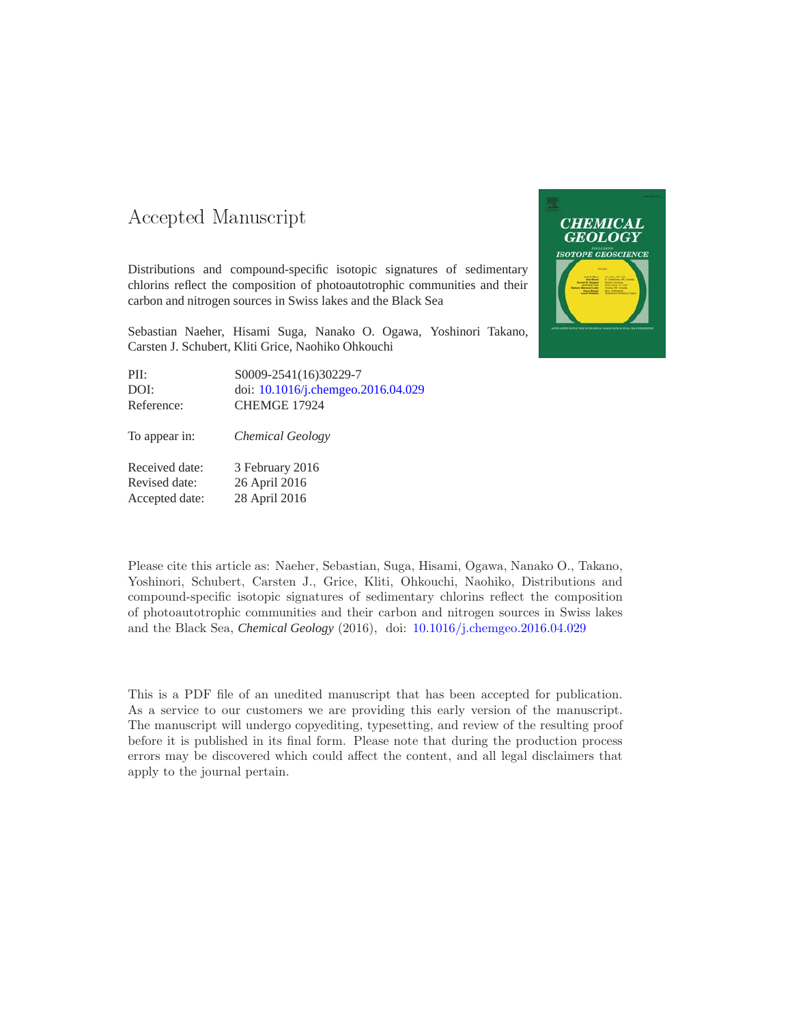### -- -

Distributions and compound-specific isotopic signatures of sedimentary chlorins reflect the composition of photoautotrophic communities and their carbon and nitrogen sources in Swiss lakes and the Black Sea

Sebastian Naeher, Hisami Suga, Nanako O. Ogawa, Yoshinori Takano, Carsten J. Schubert, Kliti Grice, Naohiko Ohkouchi

| PII:       | S0009-2541(16)30229-7              |
|------------|------------------------------------|
| DOI:       | doi: 10.1016/j.chemgeo.2016.04.029 |
| Reference: | CHEMGE 17924                       |
|            |                                    |

To appear in: *Chemical Geology*

Received date: 3 February 2016 Revised date: 26 April 2016 Accepted date: 28 April 2016



This is a PDF file of an unedited manuscript that has been accepted for publication. As a service to our customers we are providing this early version of the manuscript. The manuscript will undergo copyediting, typesetting, and review of the resulting proof before it is published in its final form. Please note that during the production process errors may be discovered which could affect the content, and all legal disclaimers that apply to the journal pertain.

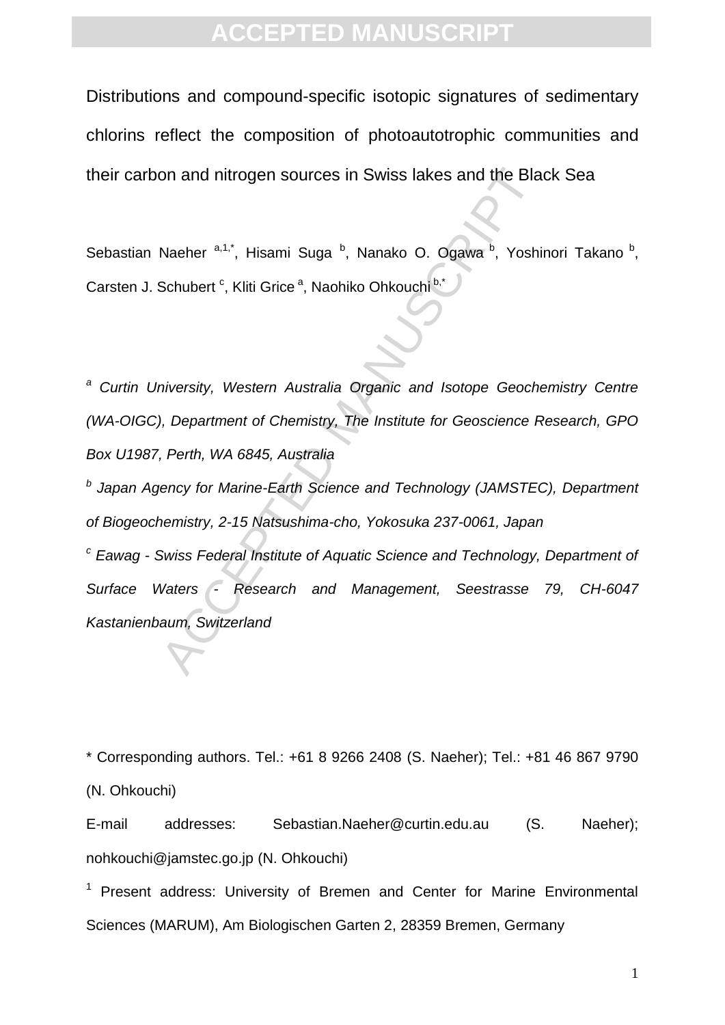Distributions and compound-specific isotopic signatures of sedimentary chlorins reflect the composition of photoautotrophic communities and their carbon and nitrogen sources in Swiss lakes and the Black Sea

Sebastian Naeher <sup>a,1,\*</sup>, Hisami Suga <sup>b</sup>, Nanako O. Ogawa <sup>b</sup>, Yoshinori Takano <sup>b</sup>, Carsten J. Schubert <sup>c</sup>, Kliti Grice <sup>a</sup>, Naohiko Ohkouchi b,\*

on and nitrogen sources in Swiss lakes and the Bla<br>
Naeher and internal Suga b, Nanako O. Ogawa b, Yoshi<br>
Schubert c, Kliti Grice c, Naohiko Ohkouchib, Yoshi<br>
Schubert c, Kliti Grice c, Naohiko Ohkouchib, Yoshi<br>
Intersity, *<sup>a</sup> Curtin University, Western Australia Organic and Isotope Geochemistry Centre (WA-OIGC), Department of Chemistry, The Institute for Geoscience Research, GPO Box U1987, Perth, WA 6845, Australia*

*b Japan Agency for Marine-Earth Science and Technology (JAMSTEC), Department of Biogeochemistry, 2-15 Natsushima-cho, Yokosuka 237-0061, Japan*

*<sup>c</sup> Eawag - Swiss Federal Institute of Aquatic Science and Technology, Department of Surface Waters - Research and Management, Seestrasse 79, CH-6047 Kastanienbaum, Switzerland*

\* Corresponding authors. Tel.: +61 8 9266 2408 (S. Naeher); Tel.: +81 46 867 9790 (N. Ohkouchi)

E-mail addresses: Sebastian.Naeher@curtin.edu.au (S. Naeher); nohkouchi@jamstec.go.jp (N. Ohkouchi)

 $1$  Present address: University of Bremen and Center for Marine Environmental Sciences (MARUM), Am Biologischen Garten 2, 28359 Bremen, Germany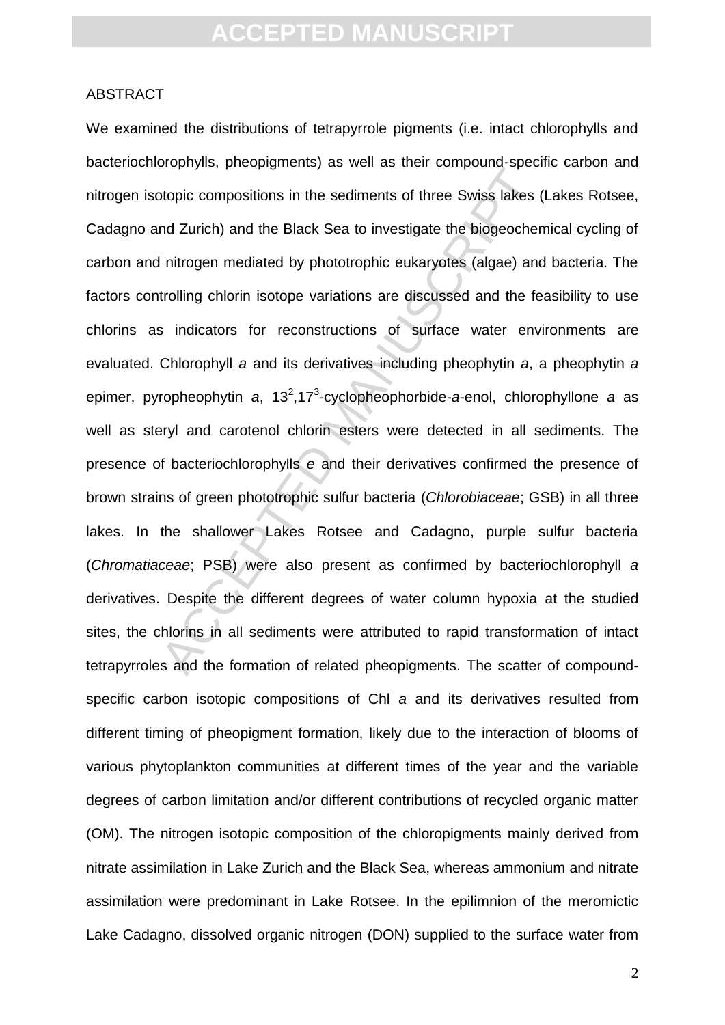#### ABSTRACT

Experimently procepts include the sediments of three Swiss lakes (and Zurich) and the Black Sea to investigate the biogeocher Initrogen mediated by phototrophic eukaryotes (algae) and trolling chlorin isotope variations ar We examined the distributions of tetrapyrrole pigments (i.e. intact chlorophylls and bacteriochlorophylls, pheopigments) as well as their compound-specific carbon and nitrogen isotopic compositions in the sediments of three Swiss lakes (Lakes Rotsee, Cadagno and Zurich) and the Black Sea to investigate the biogeochemical cycling of carbon and nitrogen mediated by phototrophic eukaryotes (algae) and bacteria. The factors controlling chlorin isotope variations are discussed and the feasibility to use chlorins as indicators for reconstructions of surface water environments are evaluated. Chlorophyll *a* and its derivatives including pheophytin *a*, a pheophytin *a* epimer, pyropheophytin a, 13<sup>2</sup>,17<sup>3</sup>-cyclopheophorbide-a-enol, chlorophyllone a as well as steryl and carotenol chlorin esters were detected in all sediments. The presence of bacteriochlorophylls *e* and their derivatives confirmed the presence of brown strains of green phototrophic sulfur bacteria (*Chlorobiaceae*; GSB) in all three lakes. In the shallower Lakes Rotsee and Cadagno, purple sulfur bacteria (*Chromatiaceae*; PSB) were also present as confirmed by bacteriochlorophyll *a* derivatives. Despite the different degrees of water column hypoxia at the studied sites, the chlorins in all sediments were attributed to rapid transformation of intact tetrapyrroles and the formation of related pheopigments. The scatter of compoundspecific carbon isotopic compositions of Chl *a* and its derivatives resulted from different timing of pheopigment formation, likely due to the interaction of blooms of various phytoplankton communities at different times of the year and the variable degrees of carbon limitation and/or different contributions of recycled organic matter (OM). The nitrogen isotopic composition of the chloropigments mainly derived from nitrate assimilation in Lake Zurich and the Black Sea, whereas ammonium and nitrate assimilation were predominant in Lake Rotsee. In the epilimnion of the meromictic Lake Cadagno, dissolved organic nitrogen (DON) supplied to the surface water from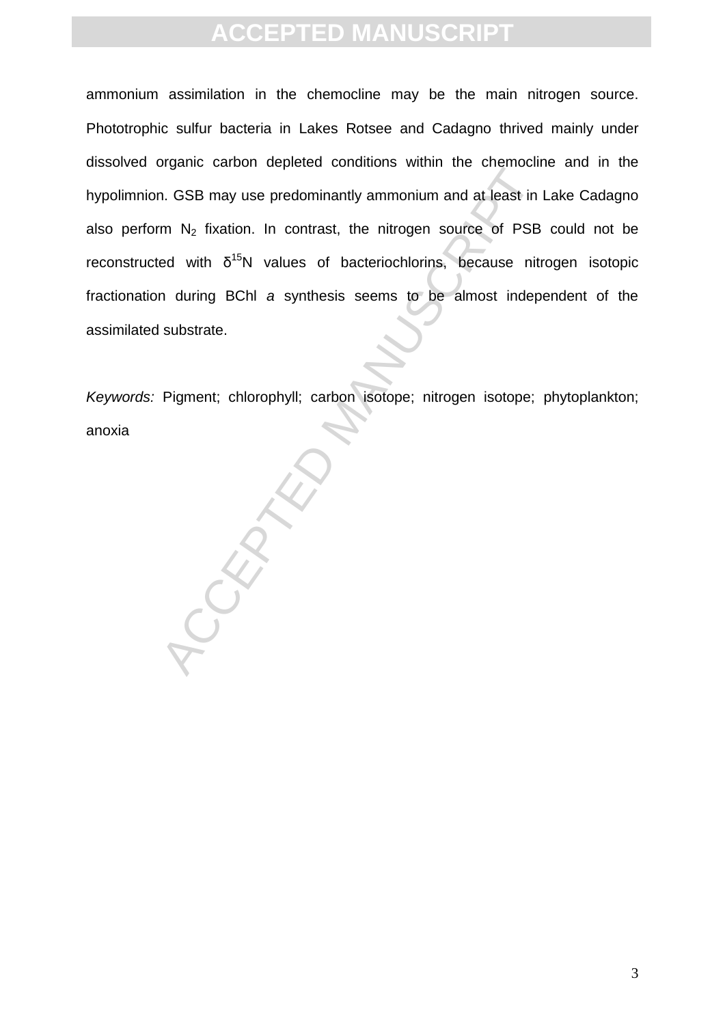ammonium assimilation in the chemocline may be the main nitrogen source. Phototrophic sulfur bacteria in Lakes Rotsee and Cadagno thrived mainly under dissolved organic carbon depleted conditions within the chemocline and in the hypolimnion. GSB may use predominantly ammonium and at least in Lake Cadagno also perform  $N_2$  fixation. In contrast, the nitrogen source of PSB could not be reconstructed with  $\delta^{15}N$  values of bacteriochlorins, because nitrogen isotopic fractionation during BChl *a* synthesis seems to be almost independent of the assimilated substrate.

*Keywords:* Pigment; chlorophyll; carbon isotope; nitrogen isotope; phytoplankton; anoxia

PCCEPTE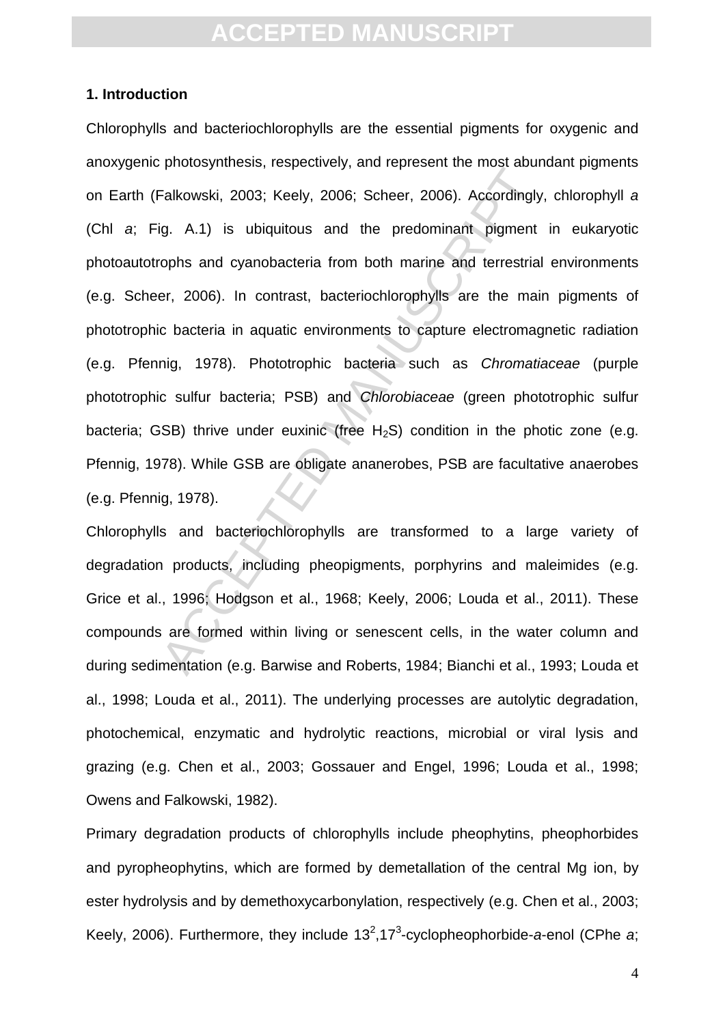#### **1. Introduction**

Falkowski, 2003; Keely, 2006; Scheer, 2006). Accordingly<br>ig. A.1) is ubiquitous and the predominant pigment<br>ophs and cyanobacteria from both marine and terrestrial<br>er, 2006). In contrast, bacteriochlorophylls are the main Chlorophylls and bacteriochlorophylls are the essential pigments for oxygenic and anoxygenic photosynthesis, respectively, and represent the most abundant pigments on Earth (Falkowski, 2003; Keely, 2006; Scheer, 2006). Accordingly, chlorophyll *a* (Chl *a*; Fig. A.1) is ubiquitous and the predominant pigment in eukaryotic photoautotrophs and cyanobacteria from both marine and terrestrial environments (e.g. Scheer, 2006). In contrast, bacteriochlorophylls are the main pigments of phototrophic bacteria in aquatic environments to capture electromagnetic radiation (e.g. Pfennig, 1978). Phototrophic bacteria such as *Chromatiaceae* (purple phototrophic sulfur bacteria; PSB) and *Chlorobiaceae* (green phototrophic sulfur bacteria; GSB) thrive under euxinic (free  $H_2S$ ) condition in the photic zone (e.g. Pfennig, 1978). While GSB are obligate ananerobes, PSB are facultative anaerobes (e.g. Pfennig, 1978).

Chlorophylls and bacteriochlorophylls are transformed to a large variety of degradation products, including pheopigments, porphyrins and maleimides (e.g. Grice et al., 1996; Hodgson et al., 1968; Keely, 2006; Louda et al., 2011). These compounds are formed within living or senescent cells, in the water column and during sedimentation (e.g. Barwise and Roberts, 1984; Bianchi et al., 1993; Louda et al., 1998; Louda et al., 2011). The underlying processes are autolytic degradation, photochemical, enzymatic and hydrolytic reactions, microbial or viral lysis and grazing (e.g. Chen et al., 2003; Gossauer and Engel, 1996; Louda et al., 1998; Owens and Falkowski, 1982).

Primary degradation products of chlorophylls include pheophytins, pheophorbides and pyropheophytins, which are formed by demetallation of the central Mg ion, by ester hydrolysis and by demethoxycarbonylation, respectively (e.g. Chen et al., 2003; Keely, 2006). Furthermore, they include 13<sup>2</sup>,17<sup>3</sup>-cyclopheophorbide-a-enol (CPhe a;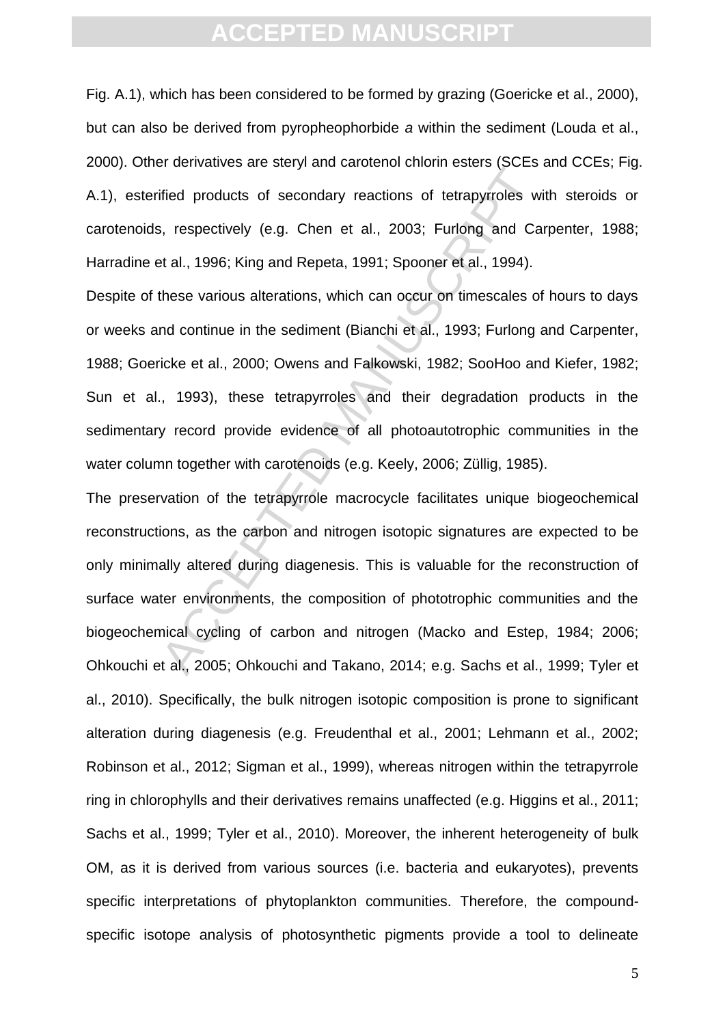Fig. A.1), which has been considered to be formed by grazing (Goericke et al., 2000), but can also be derived from pyropheophorbide *a* within the sediment (Louda et al., 2000). Other derivatives are steryl and carotenol chlorin esters (SCEs and CCEs; Fig. A.1), esterified products of secondary reactions of tetrapyrroles with steroids or carotenoids, respectively (e.g. Chen et al., 2003; Furlong and Carpenter, 1988; Harradine et al., 1996; King and Repeta, 1991; Spooner et al., 1994).

Despite of these various alterations, which can occur on timescales of hours to days or weeks and continue in the sediment (Bianchi et al., 1993; Furlong and Carpenter, 1988; Goericke et al., 2000; Owens and Falkowski, 1982; SooHoo and Kiefer, 1982; Sun et al., 1993), these tetrapyrroles and their degradation products in the sedimentary record provide evidence of all photoautotrophic communities in the water column together with carotenoids (e.g. Keely, 2006; Züllig, 1985).

Fractional selections of tetrapyrroles with the products of secondary reactions of tetrapyrroles with a case of the al., 2003; Furlong and Cast al., 1996; King and Repeta, 1991; Spooner et al., 1994). These various alterat The preservation of the tetrapyrrole macrocycle facilitates unique biogeochemical reconstructions, as the carbon and nitrogen isotopic signatures are expected to be only minimally altered during diagenesis. This is valuable for the reconstruction of surface water environments, the composition of phototrophic communities and the biogeochemical cycling of carbon and nitrogen (Macko and Estep, 1984; 2006; Ohkouchi et al., 2005; Ohkouchi and Takano, 2014; e.g. Sachs et al., 1999; Tyler et al., 2010). Specifically, the bulk nitrogen isotopic composition is prone to significant alteration during diagenesis (e.g. Freudenthal et al., 2001; Lehmann et al., 2002; Robinson et al., 2012; Sigman et al., 1999), whereas nitrogen within the tetrapyrrole ring in chlorophylls and their derivatives remains unaffected (e.g. Higgins et al., 2011; Sachs et al., 1999; Tyler et al., 2010). Moreover, the inherent heterogeneity of bulk OM, as it is derived from various sources (i.e. bacteria and eukaryotes), prevents specific interpretations of phytoplankton communities. Therefore, the compoundspecific isotope analysis of photosynthetic pigments provide a tool to delineate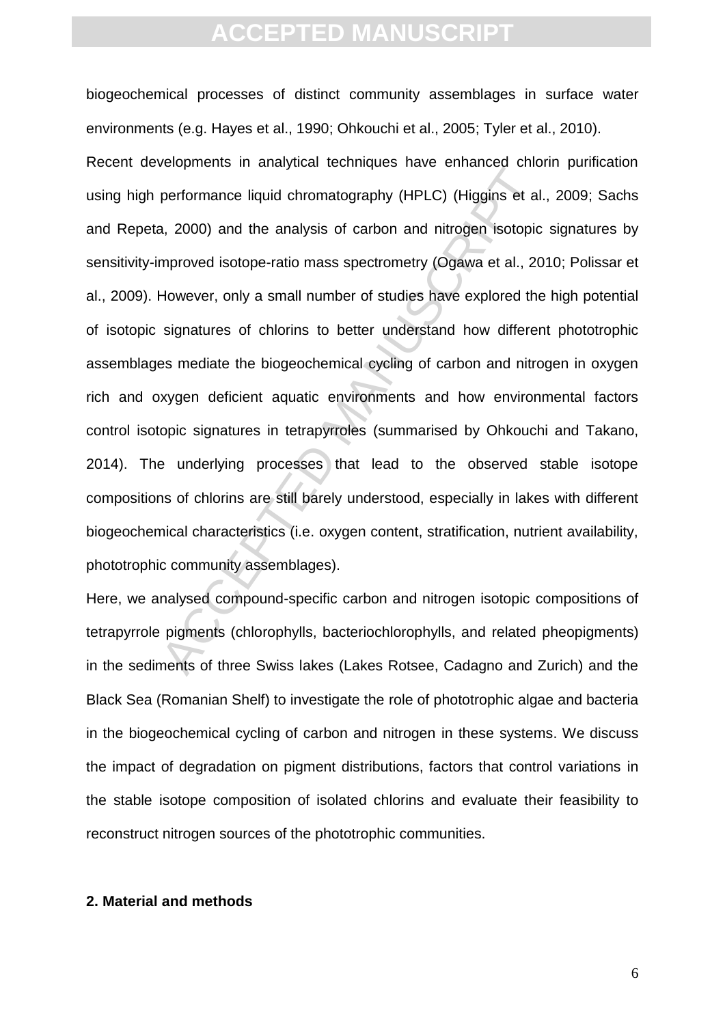berephromance liquid chromatography (HPLC) (Higgins et al., 2000) and the analysis of carbon and nitrogen isotopic mproved isotope-ratio mass spectrometry (Ogawa et al., 20<br>However, only a small number of studies have expl biogeochemical processes of distinct community assemblages in surface water environments (e.g. Hayes et al., 1990; Ohkouchi et al., 2005; Tyler et al., 2010). Recent developments in analytical techniques have enhanced chlorin purification using high performance liquid chromatography (HPLC) (Higgins et al., 2009; Sachs and Repeta, 2000) and the analysis of carbon and nitrogen isotopic signatures by sensitivity-improved isotope-ratio mass spectrometry (Ogawa et al., 2010; Polissar et al., 2009). However, only a small number of studies have explored the high potential of isotopic signatures of chlorins to better understand how different phototrophic assemblages mediate the biogeochemical cycling of carbon and nitrogen in oxygen rich and oxygen deficient aquatic environments and how environmental factors control isotopic signatures in tetrapyrroles (summarised by Ohkouchi and Takano, 2014). The underlying processes that lead to the observed stable isotope compositions of chlorins are still barely understood, especially in lakes with different biogeochemical characteristics (i.e. oxygen content, stratification, nutrient availability, phototrophic community assemblages).

Here, we analysed compound-specific carbon and nitrogen isotopic compositions of tetrapyrrole pigments (chlorophylls, bacteriochlorophylls, and related pheopigments) in the sediments of three Swiss lakes (Lakes Rotsee, Cadagno and Zurich) and the Black Sea (Romanian Shelf) to investigate the role of phototrophic algae and bacteria in the biogeochemical cycling of carbon and nitrogen in these systems. We discuss the impact of degradation on pigment distributions, factors that control variations in the stable isotope composition of isolated chlorins and evaluate their feasibility to reconstruct nitrogen sources of the phototrophic communities.

#### **2. Material and methods**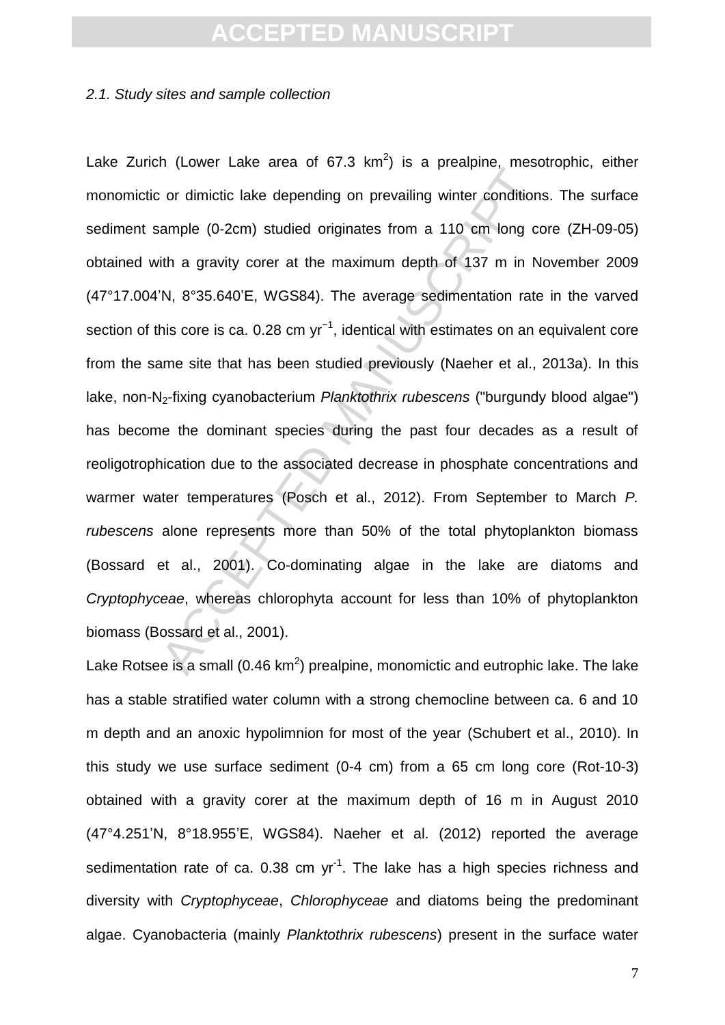#### *2.1. Study sites and sample collection*

From the direct of order and or predigions ample (0-2cm) studied originates from a 110 cm long cordinal ample (0-2cm) studied originates from a 110 cm long cordinal ample (0-2cm) studied originates from a 110 cm long cord Lake Zurich (Lower Lake area of 67.3  $km^2$ ) is a prealpine, mesotrophic, either monomictic or dimictic lake depending on prevailing winter conditions. The surface sediment sample (0-2cm) studied originates from a 110 cm long core (ZH-09-05) obtained with a gravity corer at the maximum depth of 137 m in November 2009 (47°17.004'N, 8°35.640'E, WGS84). The average sedimentation rate in the varved section of this core is ca. 0.28 cm  $yr^{-1}$ , identical with estimates on an equivalent core from the same site that has been studied previously (Naeher et al., 2013a). In this lake, non-N2-fixing cyanobacterium *Planktothrix rubescens* ("burgundy blood algae") has become the dominant species during the past four decades as a result of reoligotrophication due to the associated decrease in phosphate concentrations and warmer water temperatures (Posch et al., 2012). From September to March *P. rubescens* alone represents more than 50% of the total phytoplankton biomass (Bossard et al., 2001). Co-dominating algae in the lake are diatoms and *Cryptophyceae*, whereas chlorophyta account for less than 10% of phytoplankton biomass (Bossard et al., 2001).

Lake Rotsee is a small (0.46 km<sup>2</sup>) prealpine, monomictic and eutrophic lake. The lake has a stable stratified water column with a strong chemocline between ca. 6 and 10 m depth and an anoxic hypolimnion for most of the year (Schubert et al., 2010). In this study we use surface sediment (0-4 cm) from a 65 cm long core (Rot-10-3) obtained with a gravity corer at the maximum depth of 16 m in August 2010 (47°4.251'N, 8°18.955'E, WGS84). Naeher et al. (2012) reported the average sedimentation rate of ca. 0.38 cm  $yr^{-1}$ . The lake has a high species richness and diversity with *Cryptophyceae*, *Chlorophyceae* and diatoms being the predominant algae. Cyanobacteria (mainly *Planktothrix rubescens*) present in the surface water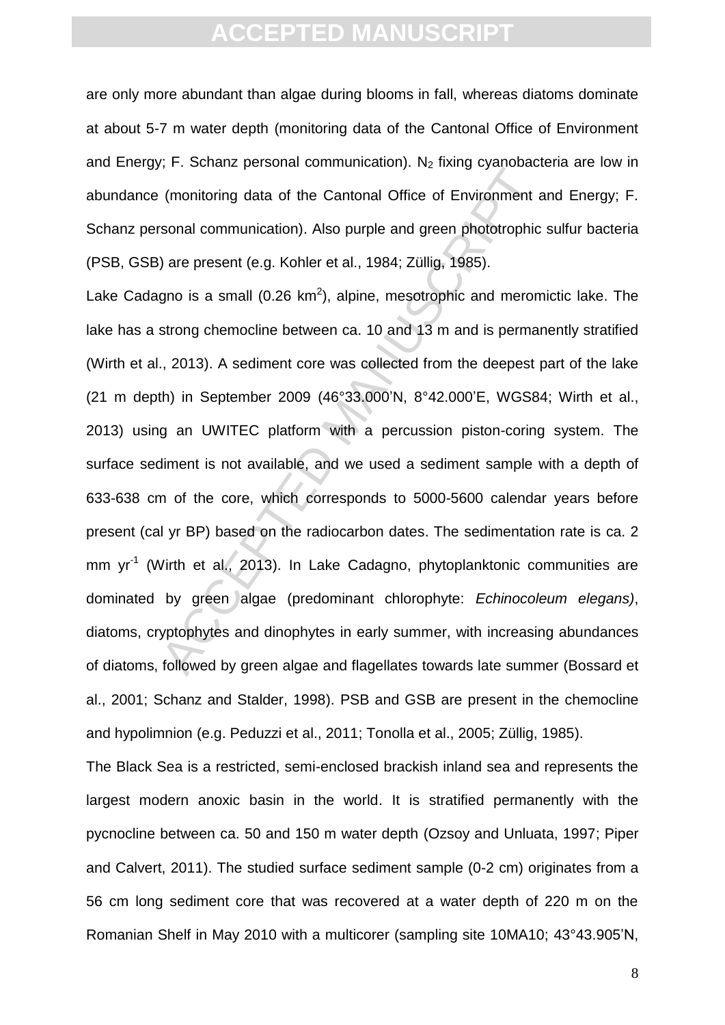are only more abundant than algae during blooms in fall, whereas diatoms dominate at about 5-7 m water depth (monitoring data of the Cantonal Office of Environment and Energy; F. Schanz personal communication).  $N_2$  fixing cyanobacteria are low in abundance (monitoring data of the Cantonal Office of Environment and Energy; F. Schanz personal communication). Also purple and green phototrophic sulfur bacteria (PSB, GSB) are present (e.g. Kohler et al., 1984; Züllig, 1985).

(monitoring data of the Cantonal Office of Environment and any systems (monitoring data of the Cantonal Office of Environment and solve the small (0.26 km<sup>2</sup>), alpine, mesotrophic and merom strong chemocline between ca. 1 Lake Cadagno is a small (0.26  $km^2$ ), alpine, mesotrophic and meromictic lake. The lake has a strong chemocline between ca. 10 and 13 m and is permanently stratified (Wirth et al., 2013). A sediment core was collected from the deepest part of the lake (21 m depth) in September 2009 (46°33.000'N, 8°42.000'E, WGS84; Wirth et al., 2013) using an UWITEC platform with a percussion piston-coring system. The surface sediment is not available, and we used a sediment sample with a depth of 633-638 cm of the core, which corresponds to 5000-5600 calendar years before present (cal yr BP) based on the radiocarbon dates. The sedimentation rate is ca. 2 mm yr<sup>-1</sup> (Wirth et al., 2013). In Lake Cadagno, phytoplanktonic communities are dominated by green algae (predominant chlorophyte: *Echinocoleum elegans)*, diatoms, cryptophytes and dinophytes in early summer, with increasing abundances of diatoms, followed by green algae and flagellates towards late summer (Bossard et al., 2001; Schanz and Stalder, 1998). PSB and GSB are present in the chemocline and hypolimnion (e.g. Peduzzi et al., 2011; Tonolla et al., 2005; Züllig, 1985).

The Black Sea is a restricted, semi-enclosed brackish inland sea and represents the largest modern anoxic basin in the world. It is stratified permanently with the pycnocline between ca. 50 and 150 m water depth (Ozsoy and Unluata, 1997; Piper and Calvert, 2011). The studied surface sediment sample (0-2 cm) originates from a 56 cm long sediment core that was recovered at a water depth of 220 m on the Romanian Shelf in May 2010 with a multicorer (sampling site 10MA10; 43°43.905'N,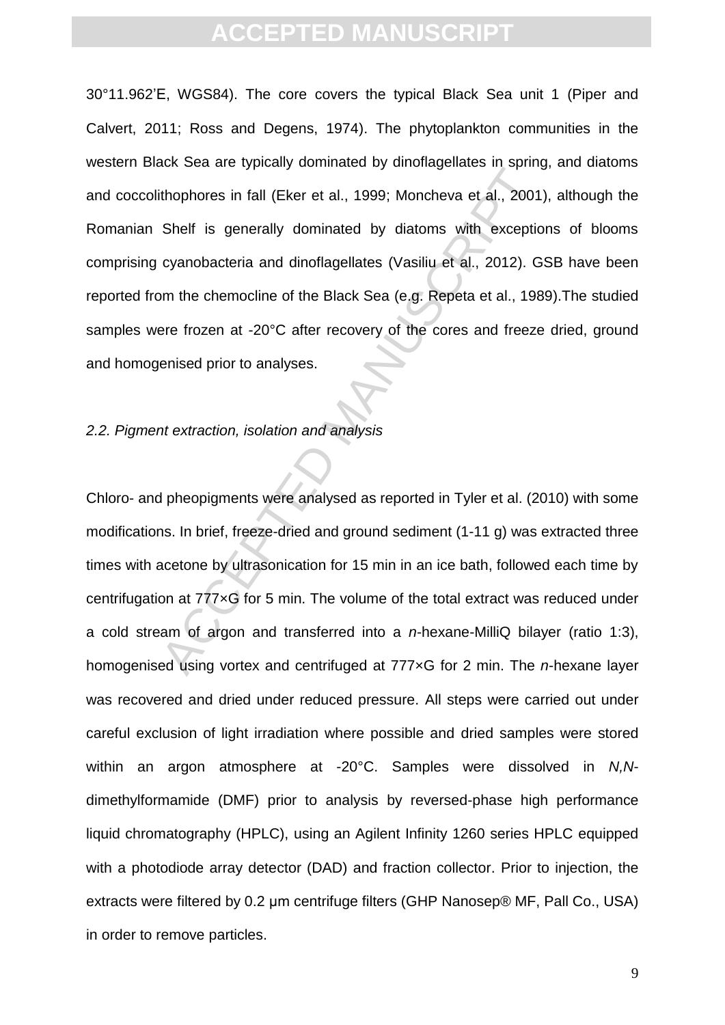Sen Did using deminicated by distindigendiced in periodicipation of the sense in the specially dominated by diatoms with exceptio cyanobacteria and dinoflagellates (Vasiliu et al., 2012). G<br>
Shelf is generally dominated by 30°11.962'E, WGS84). The core covers the typical Black Sea unit 1 (Piper and Calvert, 2011; Ross and Degens, 1974). The phytoplankton communities in the western Black Sea are typically dominated by dinoflagellates in spring, and diatoms and coccolithophores in fall (Eker et al., 1999; Moncheva et al., 2001), although the Romanian Shelf is generally dominated by diatoms with exceptions of blooms comprising cyanobacteria and dinoflagellates (Vasiliu et al., 2012). GSB have been reported from the chemocline of the Black Sea (e.g. Repeta et al., 1989).The studied samples were frozen at -20°C after recovery of the cores and freeze dried, ground and homogenised prior to analyses.

#### *2.2. Pigment extraction, isolation and analysis*

Chloro- and pheopigments were analysed as reported in Tyler et al. (2010) with some modifications. In brief, freeze-dried and ground sediment (1-11 g) was extracted three times with acetone by ultrasonication for 15 min in an ice bath, followed each time by centrifugation at 777×G for 5 min. The volume of the total extract was reduced under a cold stream of argon and transferred into a *n*-hexane-MilliQ bilayer (ratio 1:3), homogenised using vortex and centrifuged at 777×G for 2 min. The *n*-hexane layer was recovered and dried under reduced pressure. All steps were carried out under careful exclusion of light irradiation where possible and dried samples were stored within an argon atmosphere at -20°C. Samples were dissolved in *N,N*dimethylformamide (DMF) prior to analysis by reversed-phase high performance liquid chromatography (HPLC), using an Agilent Infinity 1260 series HPLC equipped with a photodiode array detector (DAD) and fraction collector. Prior to injection, the extracts were filtered by 0.2 μm centrifuge filters (GHP Nanosep® MF, Pall Co., USA) in order to remove particles.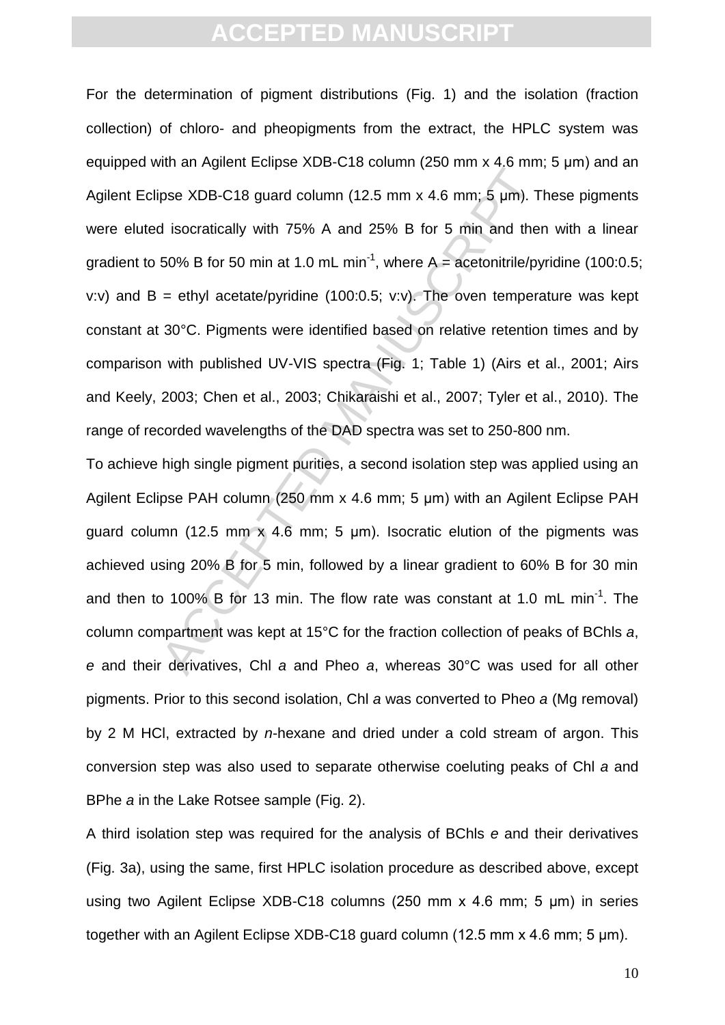the arrightent asipar of the Column (12.5 mm x 4.6 mm; 5 µm). The isocratically with 75% A and 25% B for 5 min and the 50% B for 50 min at 1.0 mL min<sup>-1</sup>, where A = acetonitrile/py = ethyl acetate/pyridine (100:0.5; v.v). For the determination of pigment distributions (Fig. 1) and the isolation (fraction collection) of chloro- and pheopigments from the extract, the HPLC system was equipped with an Agilent Eclipse XDB-C18 column (250 mm x 4.6 mm; 5 μm) and an Agilent Eclipse XDB-C18 guard column (12.5 mm x 4.6 mm; 5 μm). These pigments were eluted isocratically with 75% A and 25% B for 5 min and then with a linear gradient to 50% B for 50 min at 1.0 mL min<sup>-1</sup>, where A = acetonitrile/pyridine (100:0.5; v:v) and  $B = e^{\frac{t}{c}}$  acetate/pyridine (100:0.5; v:v). The oven temperature was kept constant at 30°C. Pigments were identified based on relative retention times and by comparison with published UV-VIS spectra (Fig. 1; Table 1) (Airs et al., 2001; Airs and Keely, 2003; Chen et al., 2003; Chikaraishi et al., 2007; Tyler et al., 2010). The range of recorded wavelengths of the DAD spectra was set to 250-800 nm.

To achieve high single pigment purities, a second isolation step was applied using an Agilent Eclipse PAH column (250 mm x 4.6 mm; 5 μm) with an Agilent Eclipse PAH guard column (12.5 mm x 4.6 mm; 5 μm). Isocratic elution of the pigments was achieved using 20% B for 5 min, followed by a linear gradient to 60% B for 30 min and then to 100% B for 13 min. The flow rate was constant at 1.0 mL min<sup>-1</sup>. The column compartment was kept at 15°C for the fraction collection of peaks of BChls *a*, *e* and their derivatives, Chl *a* and Pheo *a*, whereas 30°C was used for all other pigments. Prior to this second isolation, Chl *a* was converted to Pheo *a* (Mg removal) by 2 M HCl, extracted by *n*-hexane and dried under a cold stream of argon. This conversion step was also used to separate otherwise coeluting peaks of Chl *a* and BPhe *a* in the Lake Rotsee sample (Fig. 2).

A third isolation step was required for the analysis of BChls *e* and their derivatives (Fig. 3a), using the same, first HPLC isolation procedure as described above, except using two Agilent Eclipse XDB-C18 columns (250 mm x 4.6 mm; 5 μm) in series together with an Agilent Eclipse XDB-C18 guard column (12.5 mm x 4.6 mm; 5 μm).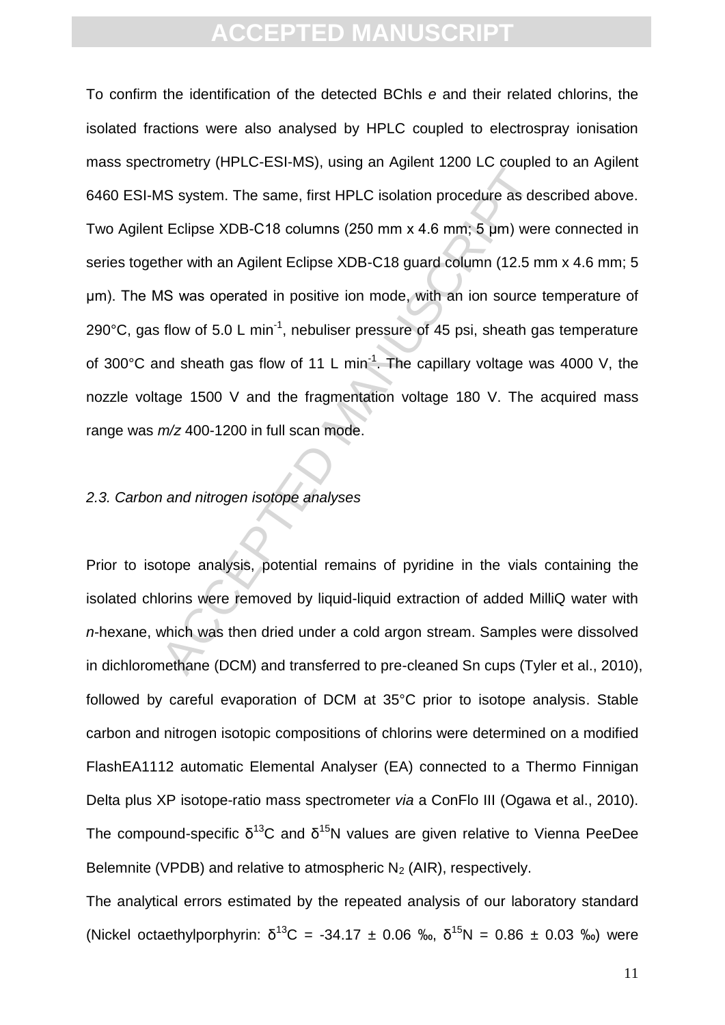ACCEPTED THE Same Server of the same of the same, first HPLC isolation procedure as de<br>t Eclipse XDB-C18 columns (250 mm x 4.6 mm; 5 µm) were<br>ther with an Agilent Eclipse XDB-C18 guard column (12.5 m<br>AS was operated in pos To confirm the identification of the detected BChls *e* and their related chlorins, the isolated fractions were also analysed by HPLC coupled to electrospray ionisation mass spectrometry (HPLC-ESI-MS), using an Agilent 1200 LC coupled to an Agilent 6460 ESI-MS system. The same, first HPLC isolation procedure as described above. Two Agilent Eclipse XDB-C18 columns (250 mm x 4.6 mm; 5 μm) were connected in series together with an Agilent Eclipse XDB-C18 guard column (12.5 mm x 4.6 mm; 5 μm). The MS was operated in positive ion mode, with an ion source temperature of 290°C, gas flow of 5.0 L min<sup>-1</sup>, nebuliser pressure of 45 psi, sheath gas temperature of 300 $\degree$ C and sheath gas flow of 11 L min<sup>-1</sup>. The capillary voltage was 4000 V, the nozzle voltage 1500 V and the fragmentation voltage 180 V. The acquired mass range was *m/z* 400-1200 in full scan mode.

#### *2.3. Carbon and nitrogen isotope analyses*

Prior to isotope analysis, potential remains of pyridine in the vials containing the isolated chlorins were removed by liquid-liquid extraction of added MilliQ water with *n*-hexane, which was then dried under a cold argon stream. Samples were dissolved in dichloromethane (DCM) and transferred to pre-cleaned Sn cups (Tyler et al., 2010), followed by careful evaporation of DCM at 35°C prior to isotope analysis. Stable carbon and nitrogen isotopic compositions of chlorins were determined on a modified FlashEA1112 automatic Elemental Analyser (EA) connected to a Thermo Finnigan Delta plus XP isotope-ratio mass spectrometer *via* a ConFlo III (Ogawa et al., 2010). The compound-specific  $\delta^{13}C$  and  $\delta^{15}N$  values are given relative to Vienna PeeDee Belemnite (VPDB) and relative to atmospheric  $N_2$  (AIR), respectively.

The analytical errors estimated by the repeated analysis of our laboratory standard (Nickel octaethylporphyrin:  $\delta^{13}C = -34.17 \pm 0.06$  ‰,  $\delta^{15}N = 0.86 \pm 0.03$  ‰) were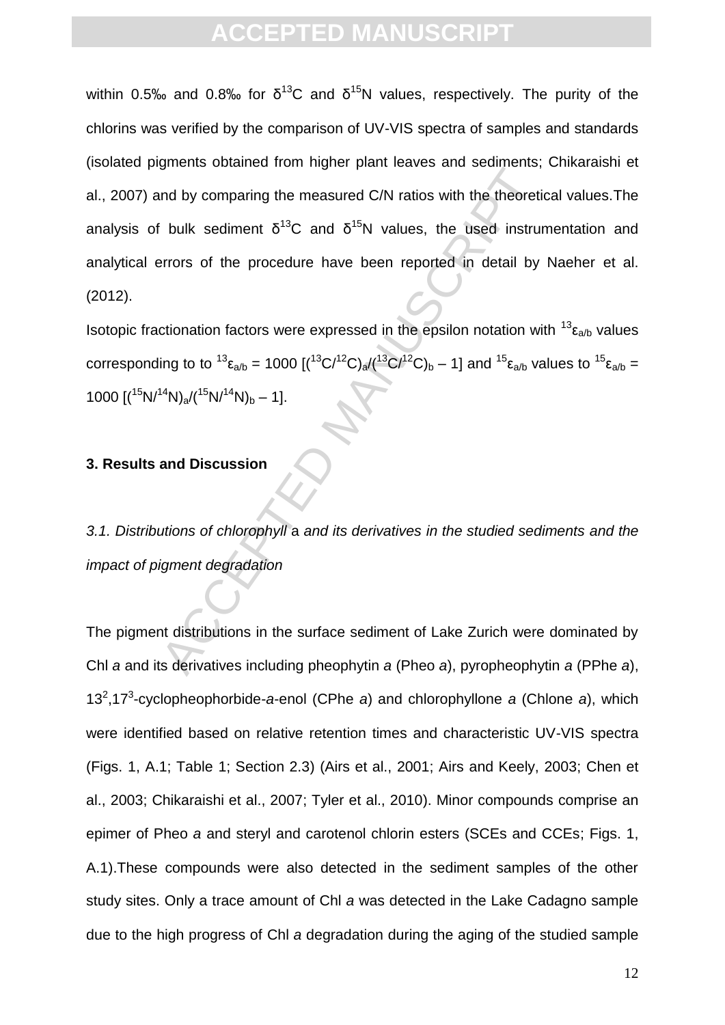and by comparing the measured C/N ratios with the theoretical bulk sediment  $\delta^{13}C$  and  $\delta^{15}N$  values, the used instruments of the procedure have been reported in detail by extractionation factors were expressed in t within 0.5‰ and 0.8‰ for  $\delta^{13}C$  and  $\delta^{15}N$  values, respectively. The purity of the chlorins was verified by the comparison of UV-VIS spectra of samples and standards (isolated pigments obtained from higher plant leaves and sediments; Chikaraishi et al., 2007) and by comparing the measured C/N ratios with the theoretical values.The analysis of bulk sediment  $\delta^{13}C$  and  $\delta^{15}N$  values, the used instrumentation and analytical errors of the procedure have been reported in detail by Naeher et al. (2012).

Isotopic fractionation factors were expressed in the epsilon notation with  $^{13}$   $\varepsilon_{a/b}$  values corresponding to to  $^{13} \epsilon_{a/b} = 1000 [({}^{13}C/{}^{12}C)_{a}/{}({}^{13}C/{}^{12}C)_{b} - 1]$  and  $^{15} \epsilon_{a/b}$  values to  $^{15} \epsilon_{a/b} =$ 1000  $[(15N/14N)<sub>a</sub>/(15N/14N)<sub>b</sub> - 1].$ 

#### **3. Results and Discussion**

*3.1. Distributions of chlorophyll* a *and its derivatives in the studied sediments and the impact of pigment degradation*

The pigment distributions in the surface sediment of Lake Zurich were dominated by Chl *a* and its derivatives including pheophytin *a* (Pheo *a*), pyropheophytin *a* (PPhe *a*), 13<sup>2</sup> ,17<sup>3</sup> -cyclopheophorbide-*a*-enol (CPhe *a*) and chlorophyllone *a* (Chlone *a*), which were identified based on relative retention times and characteristic UV-VIS spectra (Figs. 1, A.1; Table 1; Section 2.3) (Airs et al., 2001; Airs and Keely, 2003; Chen et al., 2003; Chikaraishi et al., 2007; Tyler et al., 2010). Minor compounds comprise an epimer of Pheo *a* and steryl and carotenol chlorin esters (SCEs and CCEs; Figs. 1, A.1).These compounds were also detected in the sediment samples of the other study sites. Only a trace amount of Chl *a* was detected in the Lake Cadagno sample due to the high progress of Chl *a* degradation during the aging of the studied sample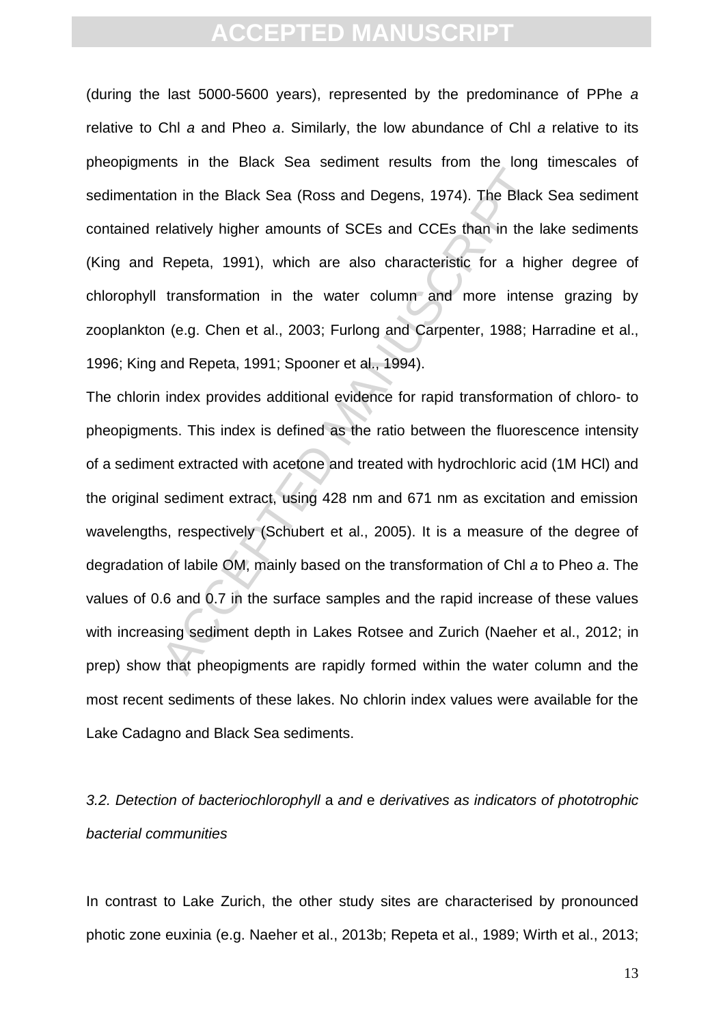(during the last 5000-5600 years), represented by the predominance of PPhe *a* relative to Chl *a* and Pheo *a*. Similarly, the low abundance of Chl *a* relative to its pheopigments in the Black Sea sediment results from the long timescales of sedimentation in the Black Sea (Ross and Degens, 1974). The Black Sea sediment contained relatively higher amounts of SCEs and CCEs than in the lake sediments (King and Repeta, 1991), which are also characteristic for a higher degree of chlorophyll transformation in the water column and more intense grazing by zooplankton (e.g. Chen et al., 2003; Furlong and Carpenter, 1988; Harradine et al., 1996; King and Repeta, 1991; Spooner et al., 1994).

The air and beta beta beta beta beta beta mediation in the length<br>in the Black Sea (Ross and Degens, 1974). The Black<br>relatively higher amounts of SCEs and CCEs than in the I<br>Repeta, 1991), which are also characteristic fo The chlorin index provides additional evidence for rapid transformation of chloro- to pheopigments. This index is defined as the ratio between the fluorescence intensity of a sediment extracted with acetone and treated with hydrochloric acid (1M HCl) and the original sediment extract, using 428 nm and 671 nm as excitation and emission wavelengths, respectively (Schubert et al., 2005). It is a measure of the degree of degradation of labile OM, mainly based on the transformation of Chl *a* to Pheo *a*. The values of 0.6 and 0.7 in the surface samples and the rapid increase of these values with increasing sediment depth in Lakes Rotsee and Zurich (Naeher et al., 2012; in prep) show that pheopigments are rapidly formed within the water column and the most recent sediments of these lakes. No chlorin index values were available for the Lake Cadagno and Black Sea sediments.

### *3.2. Detection of bacteriochlorophyll* a *and* e *derivatives as indicators of phototrophic bacterial communities*

In contrast to Lake Zurich, the other study sites are characterised by pronounced photic zone euxinia (e.g. Naeher et al., 2013b; Repeta et al., 1989; Wirth et al., 2013;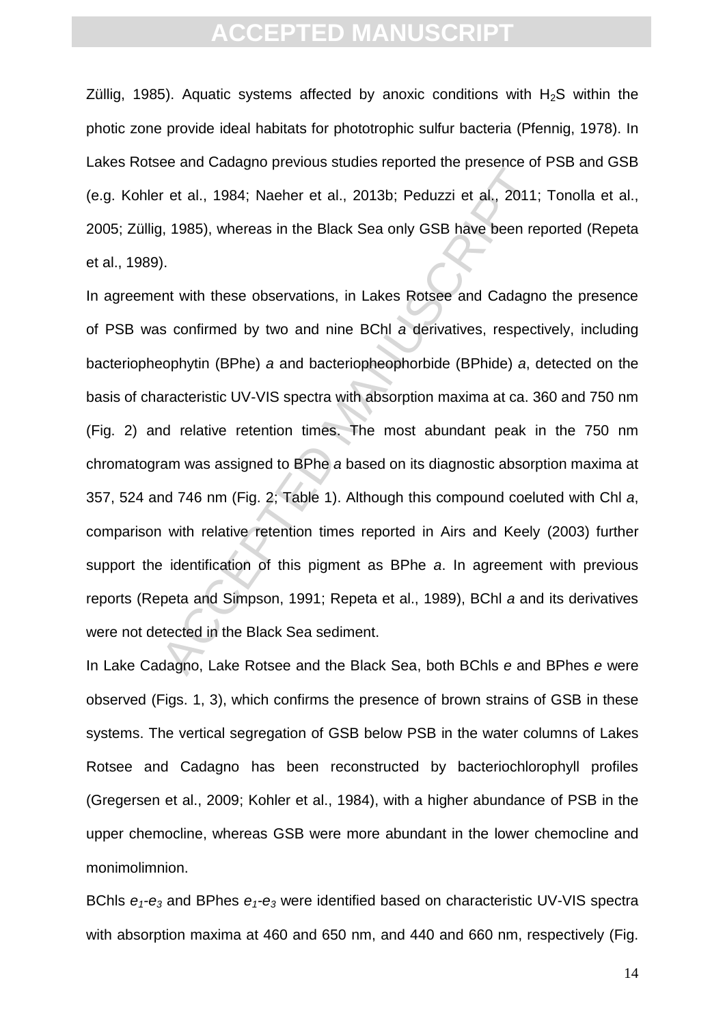Züllig, 1985). Aquatic systems affected by anoxic conditions with  $H_2S$  within the photic zone provide ideal habitats for phototrophic sulfur bacteria (Pfennig, 1978). In Lakes Rotsee and Cadagno previous studies reported the presence of PSB and GSB (e.g. Kohler et al., 1984; Naeher et al., 2013b; Peduzzi et al., 2011; Tonolla et al., 2005; Züllig, 1985), whereas in the Black Sea only GSB have been reported (Repeta et al., 1989).

or et al., 1984; Naeher et al., 2013b; Peduzzi et al., 2011;<br>
1, 1985), whereas in the Black Sea only GSB have been rep<br>
1, 1985), whereas in the Black Sea only GSB have been rep<br>
1,<br>
1, 1985), whereas in the Black Sea onl In agreement with these observations, in Lakes Rotsee and Cadagno the presence of PSB was confirmed by two and nine BChl *a* derivatives, respectively, including bacteriopheophytin (BPhe) *a* and bacteriopheophorbide (BPhide) *a*, detected on the basis of characteristic UV-VIS spectra with absorption maxima at ca. 360 and 750 nm (Fig. 2) and relative retention times. The most abundant peak in the 750 nm chromatogram was assigned to BPhe *a* based on its diagnostic absorption maxima at 357, 524 and 746 nm (Fig. 2; Table 1). Although this compound coeluted with Chl *a*, comparison with relative retention times reported in Airs and Keely (2003) further support the identification of this pigment as BPhe *a*. In agreement with previous reports (Repeta and Simpson, 1991; Repeta et al., 1989), BChl *a* and its derivatives were not detected in the Black Sea sediment.

In Lake Cadagno, Lake Rotsee and the Black Sea, both BChls *e* and BPhes *e* were observed (Figs. 1, 3), which confirms the presence of brown strains of GSB in these systems. The vertical segregation of GSB below PSB in the water columns of Lakes Rotsee and Cadagno has been reconstructed by bacteriochlorophyll profiles (Gregersen et al., 2009; Kohler et al., 1984), with a higher abundance of PSB in the upper chemocline, whereas GSB were more abundant in the lower chemocline and monimolimnion.

BChls *e1-e<sup>3</sup>* and BPhes *e1-e<sup>3</sup>* were identified based on characteristic UV-VIS spectra with absorption maxima at 460 and 650 nm, and 440 and 660 nm, respectively (Fig.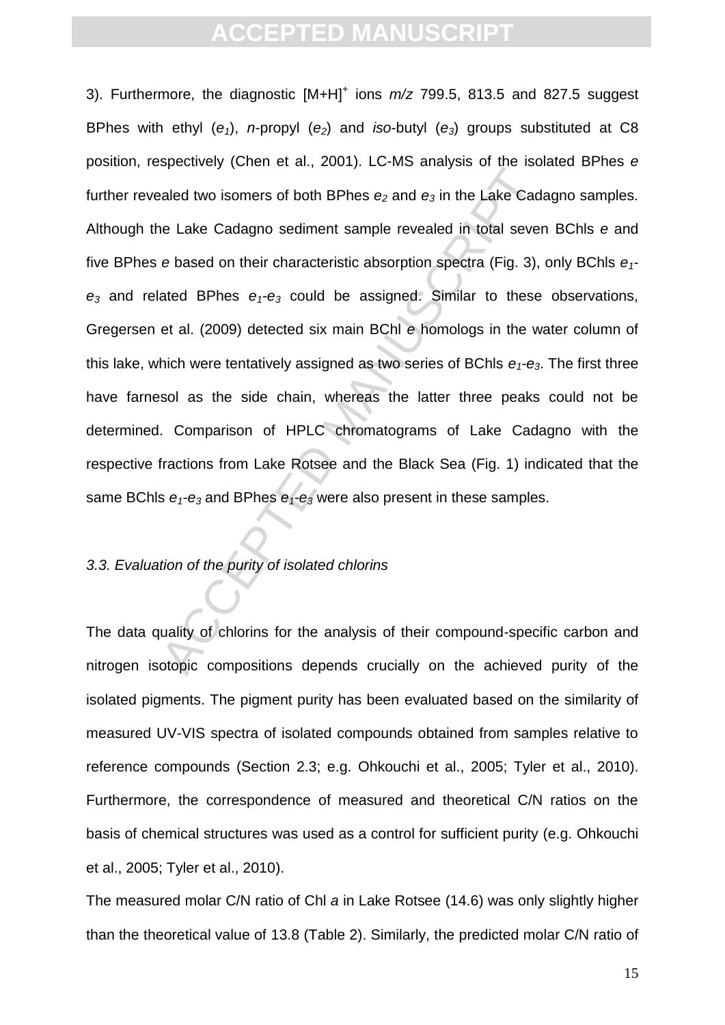Example 2 and the Lake Cade<br>aled two isomers of both BPhes  $e_2$  and  $e_3$  in the Lake Cad<br>e Lake Cadagno sediment sample revealed in total sever<br>e based on their characteristic absorption spectra (Fig. 3),<br>ated BPhes  $e_$ 3). Furthermore, the diagnostic [M+H]<sup>+</sup> ions  $m/z$  799.5, 813.5 and 827.5 suggest BPhes with ethyl (*e1*), *n*-propyl (*e2*) and *iso*-butyl (*e3*) groups substituted at C8 position, respectively (Chen et al., 2001). LC-MS analysis of the isolated BPhes *e* further revealed two isomers of both BPhes *e<sup>2</sup>* and *e<sup>3</sup>* in the Lake Cadagno samples. Although the Lake Cadagno sediment sample revealed in total seven BChls *e* and five BPhes *e* based on their characteristic absorption spectra (Fig. 3), only BChls *e1 e<sup>3</sup>* and related BPhes *e1-e<sup>3</sup>* could be assigned. Similar to these observations, Gregersen et al. (2009) detected six main BChl *e* homologs in the water column of this lake, which were tentatively assigned as two series of BChls  $e_1$ - $e_3$ . The first three have farnesol as the side chain, whereas the latter three peaks could not be determined. Comparison of HPLC chromatograms of Lake Cadagno with the respective fractions from Lake Rotsee and the Black Sea (Fig. 1) indicated that the same BChls *e1-e<sup>3</sup>* and BPhes *e1-e<sup>3</sup>* were also present in these samples.

#### *3.3. Evaluation of the purity of isolated chlorins*

The data quality of chlorins for the analysis of their compound-specific carbon and nitrogen isotopic compositions depends crucially on the achieved purity of the isolated pigments. The pigment purity has been evaluated based on the similarity of measured UV-VIS spectra of isolated compounds obtained from samples relative to reference compounds (Section 2.3; e.g. Ohkouchi et al., 2005; Tyler et al., 2010). Furthermore, the correspondence of measured and theoretical C/N ratios on the basis of chemical structures was used as a control for sufficient purity (e.g. Ohkouchi et al., 2005; Tyler et al., 2010).

The measured molar C/N ratio of Chl *a* in Lake Rotsee (14.6) was only slightly higher than the theoretical value of 13.8 (Table 2). Similarly, the predicted molar C/N ratio of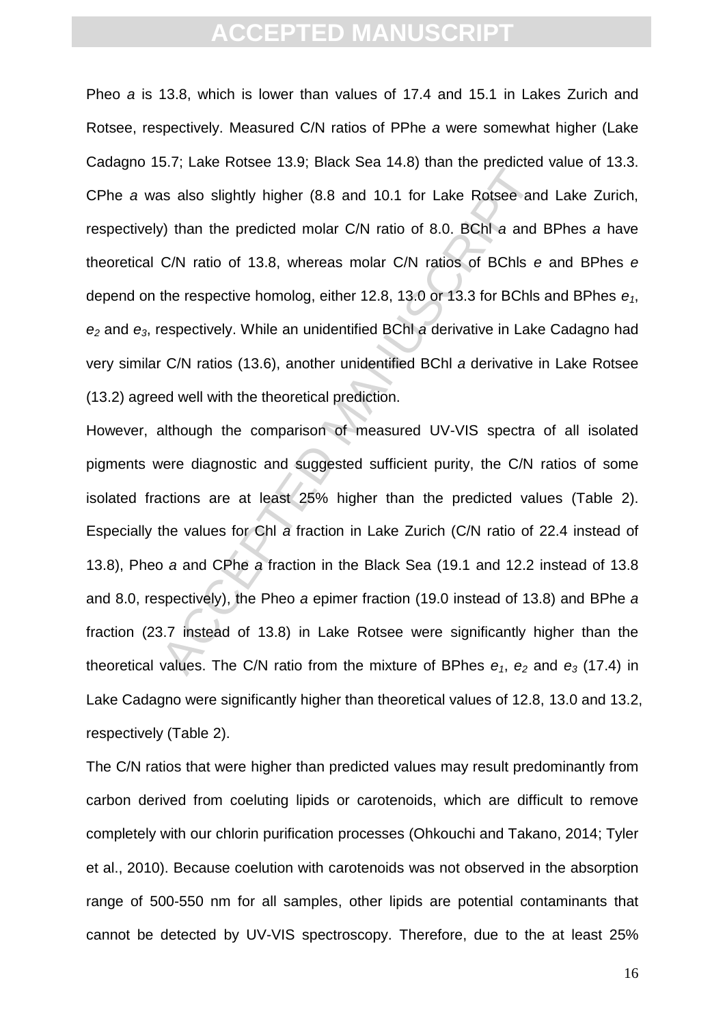Pheo *a* is 13.8, which is lower than values of 17.4 and 15.1 in Lakes Zurich and Rotsee, respectively. Measured C/N ratios of PPhe *a* were somewhat higher (Lake Cadagno 15.7; Lake Rotsee 13.9; Black Sea 14.8) than the predicted value of 13.3. CPhe *a* was also slightly higher (8.8 and 10.1 for Lake Rotsee and Lake Zurich, respectively) than the predicted molar C/N ratio of 8.0. BChl *a* and BPhes *a* have theoretical C/N ratio of 13.8, whereas molar C/N ratios of BChls *e* and BPhes *e* depend on the respective homolog, either 12.8, 13.0 or 13.3 for BChls and BPhes *e1*, *e<sup>2</sup>* and *e3*, respectively. While an unidentified BChl *a* derivative in Lake Cadagno had very similar C/N ratios (13.6), another unidentified BChl *a* derivative in Lake Rotsee (13.2) agreed well with the theoretical prediction.

and state induct of the predicted interpretations as also slightly higher (8.8 and 10.1 for Lake Rotsee and<br>
y) than the predicted molar C/N ratio of 8.0. BChl a and<br>
C/N ratio of 13.8, whereas molar C/N ratios of BChls e However, although the comparison of measured UV-VIS spectra of all isolated pigments were diagnostic and suggested sufficient purity, the C/N ratios of some isolated fractions are at least 25% higher than the predicted values (Table 2). Especially the values for Chl *a* fraction in Lake Zurich (C/N ratio of 22.4 instead of 13.8), Pheo *a* and CPhe *a* fraction in the Black Sea (19.1 and 12.2 instead of 13.8 and 8.0, respectively), the Pheo *a* epimer fraction (19.0 instead of 13.8) and BPhe *a* fraction (23.7 instead of 13.8) in Lake Rotsee were significantly higher than the theoretical values. The C/N ratio from the mixture of BPhes *e1*, *e<sup>2</sup>* and *e<sup>3</sup>* (17.4) in Lake Cadagno were significantly higher than theoretical values of 12.8, 13.0 and 13.2, respectively (Table 2).

The C/N ratios that were higher than predicted values may result predominantly from carbon derived from coeluting lipids or carotenoids, which are difficult to remove completely with our chlorin purification processes (Ohkouchi and Takano, 2014; Tyler et al., 2010). Because coelution with carotenoids was not observed in the absorption range of 500-550 nm for all samples, other lipids are potential contaminants that cannot be detected by UV-VIS spectroscopy. Therefore, due to the at least 25%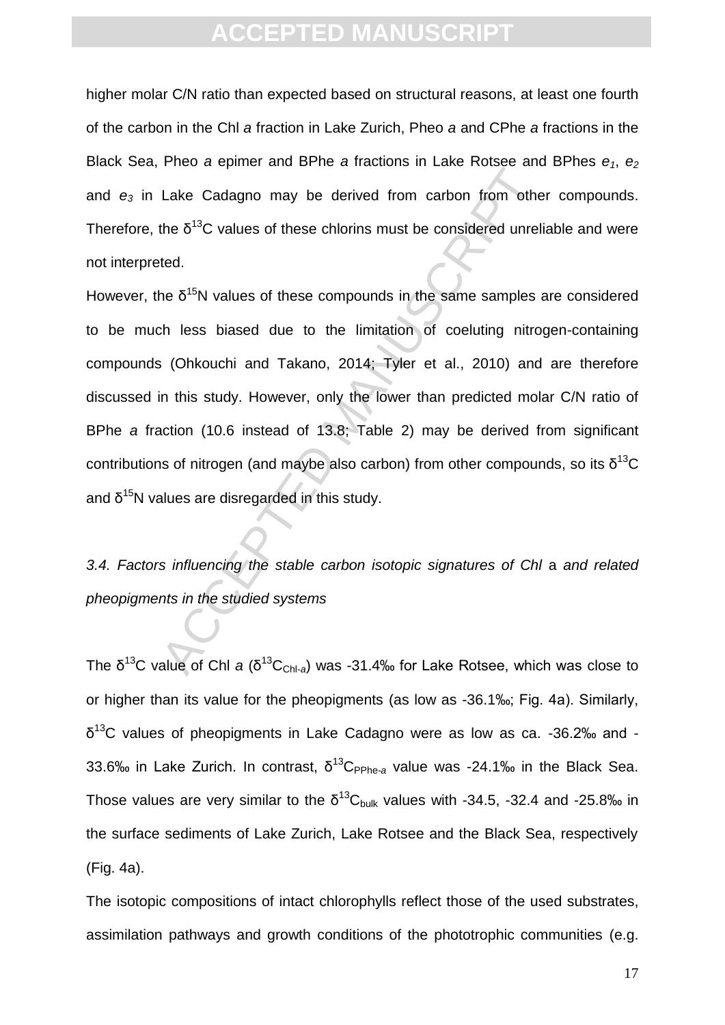higher molar C/N ratio than expected based on structural reasons, at least one fourth of the carbon in the Chl *a* fraction in Lake Zurich, Pheo *a* and CPhe *a* fractions in the Black Sea, Pheo *a* epimer and BPhe *a* fractions in Lake Rotsee and BPhes *e1*, *e<sup>2</sup>* and *e<sup>3</sup>* in Lake Cadagno may be derived from carbon from other compounds. Therefore, the  $\delta^{13}$ C values of these chlorins must be considered unreliable and were not interpreted.

Lake Cadagno may be derived from carbon from other<br>the  $\delta^{13}$ C values of these chlorins must be considered unrelief<br>the  $\delta^{15}$ N values of these compounds in the same samples ch<br>h less biased due to the limitation of c However, the  $\delta^{15}N$  values of these compounds in the same samples are considered to be much less biased due to the limitation of coeluting nitrogen-containing compounds (Ohkouchi and Takano, 2014; Tyler et al., 2010) and are therefore discussed in this study. However, only the lower than predicted molar C/N ratio of BPhe *a* fraction (10.6 instead of 13.8; Table 2) may be derived from significant contributions of nitrogen (and maybe also carbon) from other compounds, so its  $\delta^{13}C$ and  $δ<sup>15</sup>N$  values are disregarded in this study.

*3.4. Factors influencing the stable carbon isotopic signatures of Chl* a *and related pheopigments in the studied systems*

The δ<sup>13</sup>C value of Chl *a* (δ<sup>13</sup>C<sub>Chl-a</sub>) was -31.4‰ for Lake Rotsee, which was close to or higher than its value for the pheopigments (as low as -36.1‰; Fig. 4a). Similarly,  $δ<sup>13</sup>$ C values of pheopigments in Lake Cadagno were as low as ca. -36.2‰ and -33.6‰ in Lake Zurich. In contrast,  $\delta^{13}$ C<sub>PPhe-a</sub> value was -24.1‰ in the Black Sea. Those values are very similar to the  $\delta^{13}C_{\text{bulk}}$  values with -34.5, -32.4 and -25.8‰ in the surface sediments of Lake Zurich, Lake Rotsee and the Black Sea, respectively (Fig. 4a).

The isotopic compositions of intact chlorophylls reflect those of the used substrates, assimilation pathways and growth conditions of the phototrophic communities (e.g.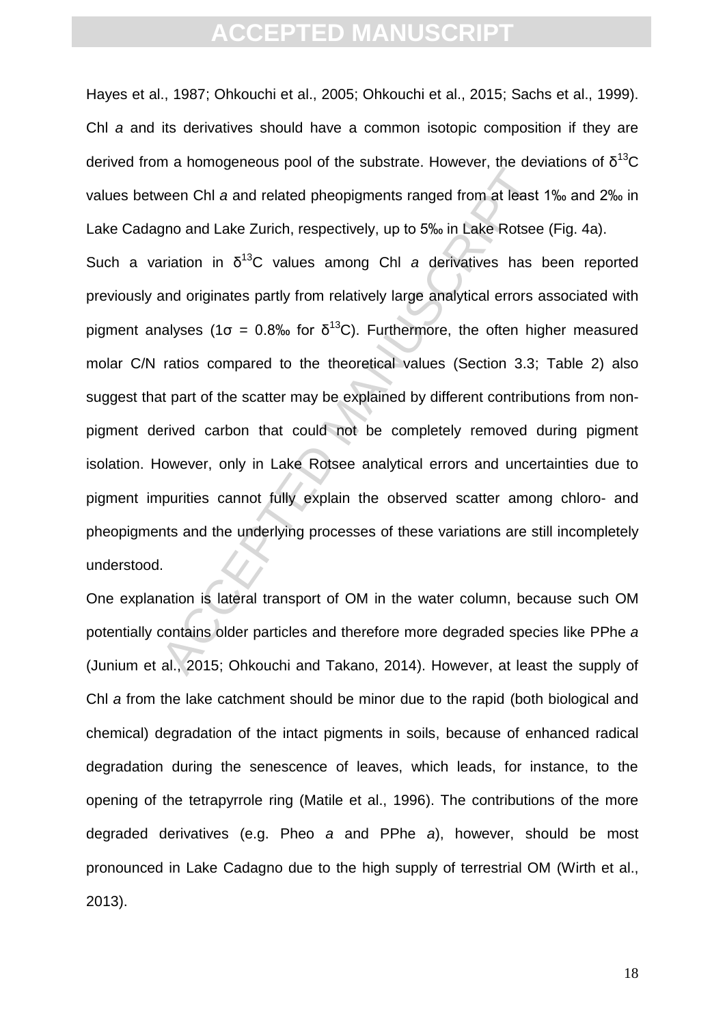Hayes et al., 1987; Ohkouchi et al., 2005; Ohkouchi et al., 2015; Sachs et al., 1999). Chl *a* and its derivatives should have a common isotopic composition if they are derived from a homogeneous pool of the substrate. However, the deviations of  $\delta^{13}C$ values between Chl *a* and related pheopigments ranged from at least 1‰ and 2‰ in Lake Cadagno and Lake Zurich, respectively, up to 5‰ in Lake Rotsee (Fig. 4a).

The interestingulated people of the securities interesting we set<br>veen Chl a and related pheopigments ranged from at least<br>gno and Lake Zurich, respectively, up to 5% in Lake Rotsee<br>ariation in  $\delta^{13}C$  values among Chl Such a variation in  $\delta^{13}$ C values among Chl *a* derivatives has been reported previously and originates partly from relatively large analytical errors associated with pigment analyses (1σ = 0.8‰ for δ<sup>13</sup>C). Furthermore, the often higher measured molar C/N ratios compared to the theoretical values (Section 3.3; Table 2) also suggest that part of the scatter may be explained by different contributions from nonpigment derived carbon that could not be completely removed during pigment isolation. However, only in Lake Rotsee analytical errors and uncertainties due to pigment impurities cannot fully explain the observed scatter among chloro- and pheopigments and the underlying processes of these variations are still incompletely understood.

One explanation is lateral transport of OM in the water column, because such OM potentially contains older particles and therefore more degraded species like PPhe *a* (Junium et al., 2015; Ohkouchi and Takano, 2014). However, at least the supply of Chl *a* from the lake catchment should be minor due to the rapid (both biological and chemical) degradation of the intact pigments in soils, because of enhanced radical degradation during the senescence of leaves, which leads, for instance, to the opening of the tetrapyrrole ring (Matile et al., 1996). The contributions of the more degraded derivatives (e.g. Pheo *a* and PPhe *a*), however, should be most pronounced in Lake Cadagno due to the high supply of terrestrial OM (Wirth et al., 2013).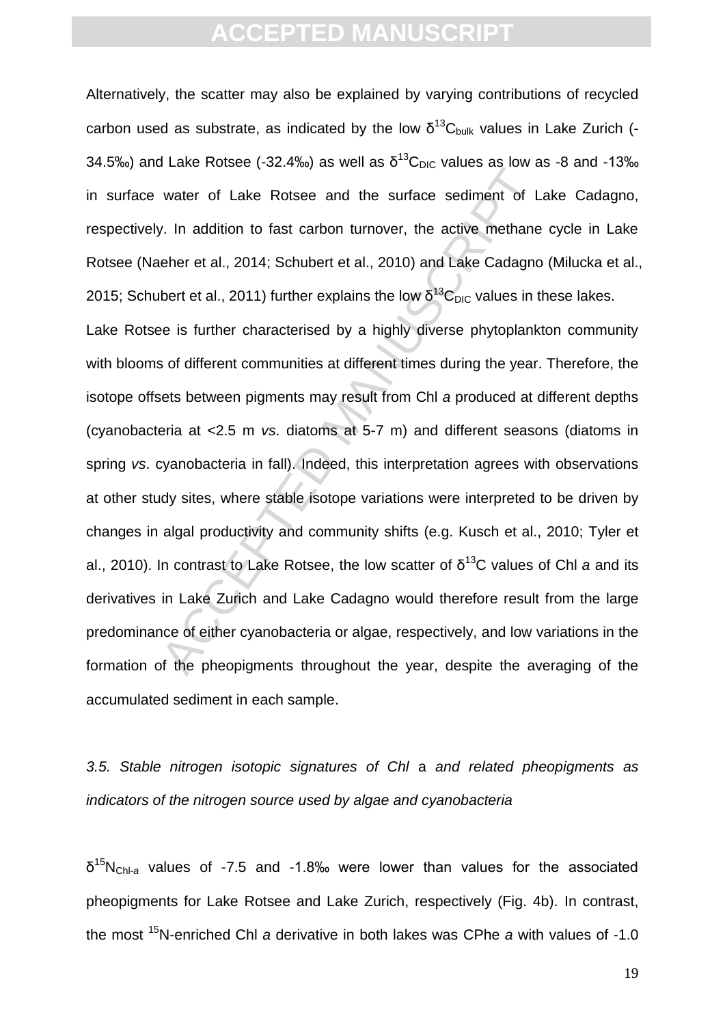Alternatively, the scatter may also be explained by varying contributions of recycled carbon used as substrate, as indicated by the low  $\delta^{13}C_{\text{bulk}}$  values in Lake Zurich (-34.5‰) and Lake Rotsee (-32.4‰) as well as  $\delta^{13}$ C<sub>DIC</sub> values as low as -8 and -13‰ in surface water of Lake Rotsee and the surface sediment of Lake Cadagno, respectively. In addition to fast carbon turnover, the active methane cycle in Lake Rotsee (Naeher et al., 2014; Schubert et al., 2010) and Lake Cadagno (Milucka et al., 2015; Schubert et al., 2011) further explains the low  $\delta^{13}C_{\text{DIC}}$  values in these lakes.

value of Lake Rotsee and the surface sediment of L<br>water of Lake Rotsee and the surface sediment of L<br>v. In addition to fast carbon turnover, the active methane<br>eher et al., 2014; Schubert et al., 2010) and Lake Cadagno<br>b Lake Rotsee is further characterised by a highly diverse phytoplankton community with blooms of different communities at different times during the year. Therefore, the isotope offsets between pigments may result from Chl *a* produced at different depths (cyanobacteria at <2.5 m *vs*. diatoms at 5-7 m) and different seasons (diatoms in spring *vs*. cyanobacteria in fall). Indeed, this interpretation agrees with observations at other study sites, where stable isotope variations were interpreted to be driven by changes in algal productivity and community shifts (e.g. Kusch et al., 2010; Tyler et al., 2010). In contrast to Lake Rotsee, the low scatter of δ <sup>13</sup>C values of Chl *a* and its derivatives in Lake Zurich and Lake Cadagno would therefore result from the large predominance of either cyanobacteria or algae, respectively, and low variations in the formation of the pheopigments throughout the year, despite the averaging of the accumulated sediment in each sample.

*3.5. Stable nitrogen isotopic signatures of Chl* a *and related pheopigments as indicators of the nitrogen source used by algae and cyanobacteria*

δ <sup>15</sup>NChl-*<sup>a</sup>* values of -7.5 and -1.8‰ were lower than values for the associated pheopigments for Lake Rotsee and Lake Zurich, respectively (Fig. 4b). In contrast, the most <sup>15</sup>N-enriched Chl *a* derivative in both lakes was CPhe *a* with values of -1.0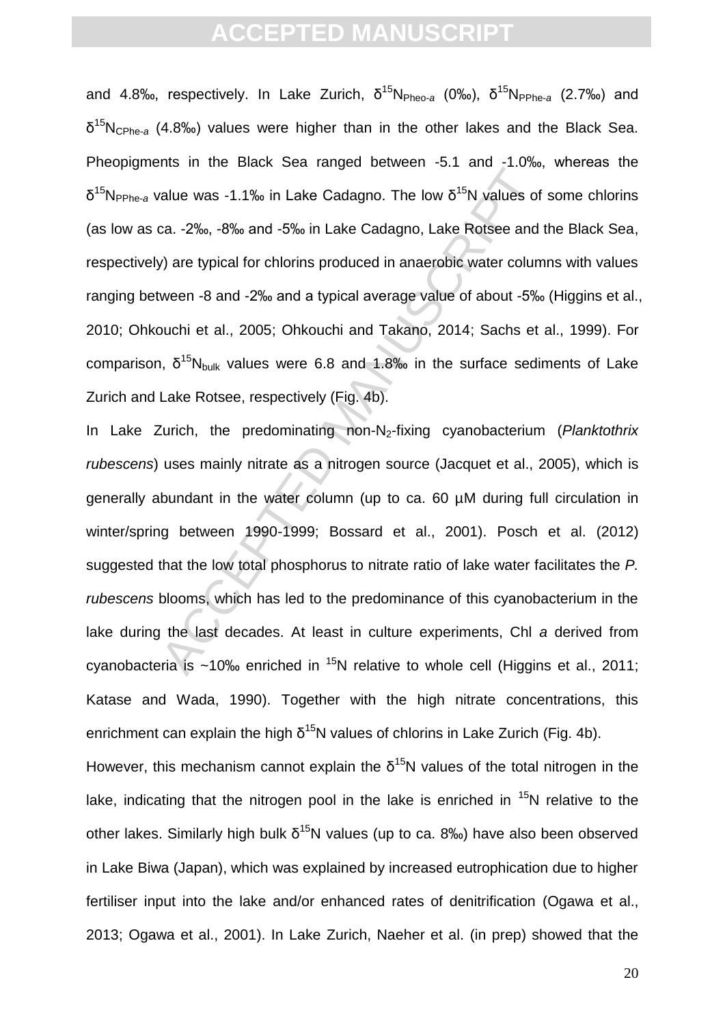and 4.8‰, respectively. In Lake Zurich, δ<sup>15</sup>N<sub>Pheo-a</sub> (0‰), δ<sup>15</sup>N<sub>PPhe-a</sub> (2.7‰) and δ <sup>15</sup>NCPhe-*<sup>a</sup>* (4.8‰) values were higher than in the other lakes and the Black Sea. Pheopigments in the Black Sea ranged between -5.1 and -1.0‰, whereas the δ<sup>15</sup>N<sub>PPhe-a</sub> value was -1.1‰ in Lake Cadagno. The low δ<sup>15</sup>N values of some chlorins (as low as ca. -2‰, -8‰ and -5‰ in Lake Cadagno, Lake Rotsee and the Black Sea, respectively) are typical for chlorins produced in anaerobic water columns with values ranging between -8 and -2‰ and a typical average value of about -5‰ (Higgins et al., 2010; Ohkouchi et al., 2005; Ohkouchi and Takano, 2014; Sachs et al., 1999). For comparison,  $\delta^{15}N_{bulk}$  values were 6.8 and 1.8‰ in the surface sediments of Lake Zurich and Lake Rotsee, respectively (Fig. 4b).

The antitive Distributed Testa Tengela Demotration of the line interaction of the state calculation of the state of the state of the state of the state of the state of the state of the state of the state of the state of t In Lake Zurich, the predominating non-N<sub>2</sub>-fixing cyanobacterium (*Planktothrix rubescens*) uses mainly nitrate as a nitrogen source (Jacquet et al., 2005), which is generally abundant in the water column (up to ca. 60 µM during full circulation in winter/spring between 1990-1999; Bossard et al., 2001). Posch et al. (2012) suggested that the low total phosphorus to nitrate ratio of lake water facilitates the *P. rubescens* blooms, which has led to the predominance of this cyanobacterium in the lake during the last decades. At least in culture experiments, Chl *a* derived from cyanobacteria is ~10‰ enriched in  $^{15}N$  relative to whole cell (Higgins et al., 2011; Katase and Wada, 1990). Together with the high nitrate concentrations, this enrichment can explain the high  $\delta^{15}$ N values of chlorins in Lake Zurich (Fig. 4b).

However, this mechanism cannot explain the  $\delta^{15}$ N values of the total nitrogen in the lake, indicating that the nitrogen pool in the lake is enriched in  $15N$  relative to the other lakes. Similarly high bulk  $\delta^{15}N$  values (up to ca. 8‰) have also been observed in Lake Biwa (Japan), which was explained by increased eutrophication due to higher fertiliser input into the lake and/or enhanced rates of denitrification (Ogawa et al., 2013; Ogawa et al., 2001). In Lake Zurich, Naeher et al. (in prep) showed that the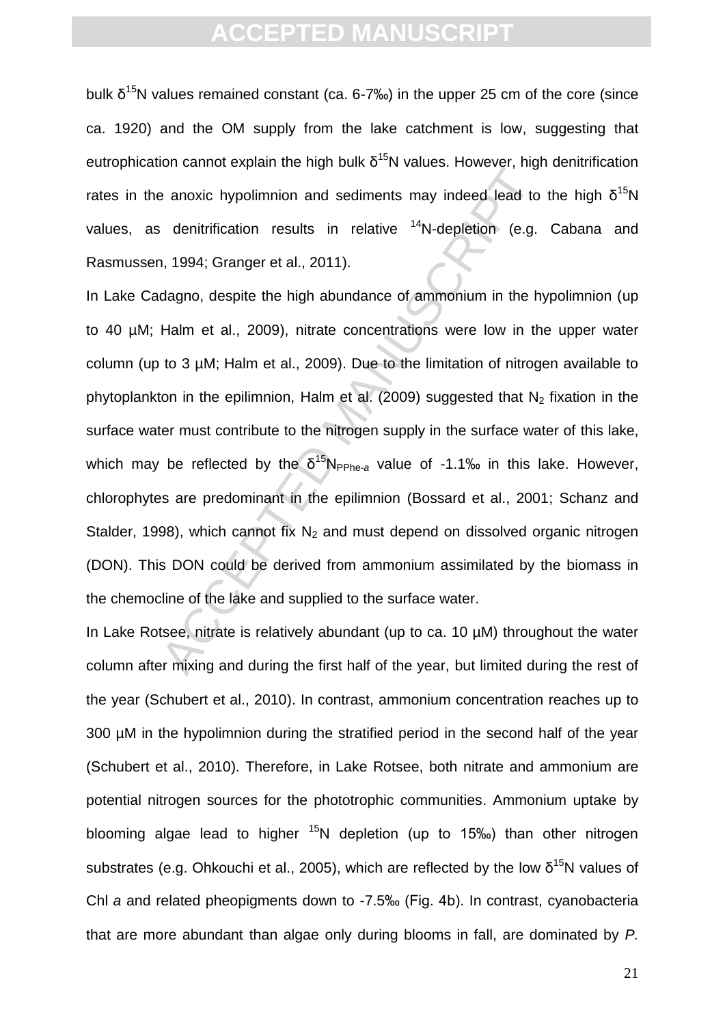bulk  $\delta^{15}$ N values remained constant (ca. 6-7‰) in the upper 25 cm of the core (since ca. 1920) and the OM supply from the lake catchment is low, suggesting that eutrophication cannot explain the high bulk  $δ<sup>15</sup>N$  values. However, high denitrification rates in the anoxic hypolimnion and sediments may indeed lead to the high  $\delta^{15}N$ values, as denitrification results in relative  $14N$ -depletion (e.g. Cabana and Rasmussen, 1994; Granger et al., 2011).

be a noxic hypolimnion and sediments may indeed lead to denitrification results in relative  $14N$ -depletion (e.g. 1994; Granger et al., 2011).<br>Alegno, despite the high abundance of ammonium in the hypologno, despite the h In Lake Cadagno, despite the high abundance of ammonium in the hypolimnion (up to 40 µM; Halm et al., 2009), nitrate concentrations were low in the upper water column (up to 3 µM; Halm et al., 2009). Due to the limitation of nitrogen available to phytoplankton in the epilimnion, Halm et al. (2009) suggested that  $N_2$  fixation in the surface water must contribute to the nitrogen supply in the surface water of this lake, which may be reflected by the  $\delta^{15}N_{\text{PPhe-a}}$  value of -1.1‰ in this lake. However, chlorophytes are predominant in the epilimnion (Bossard et al., 2001; Schanz and Stalder, 1998), which cannot fix  $N_2$  and must depend on dissolved organic nitrogen (DON). This DON could be derived from ammonium assimilated by the biomass in the chemocline of the lake and supplied to the surface water.

In Lake Rotsee, nitrate is relatively abundant (up to ca. 10 µM) throughout the water column after mixing and during the first half of the year, but limited during the rest of the year (Schubert et al., 2010). In contrast, ammonium concentration reaches up to 300 µM in the hypolimnion during the stratified period in the second half of the year (Schubert et al., 2010). Therefore, in Lake Rotsee, both nitrate and ammonium are potential nitrogen sources for the phototrophic communities. Ammonium uptake by blooming algae lead to higher  $15N$  depletion (up to 15‰) than other nitrogen substrates (e.g. Ohkouchi et al., 2005), which are reflected by the low  $\delta^{15}N$  values of Chl *a* and related pheopigments down to -7.5‰ (Fig. 4b). In contrast, cyanobacteria that are more abundant than algae only during blooms in fall, are dominated by *P.*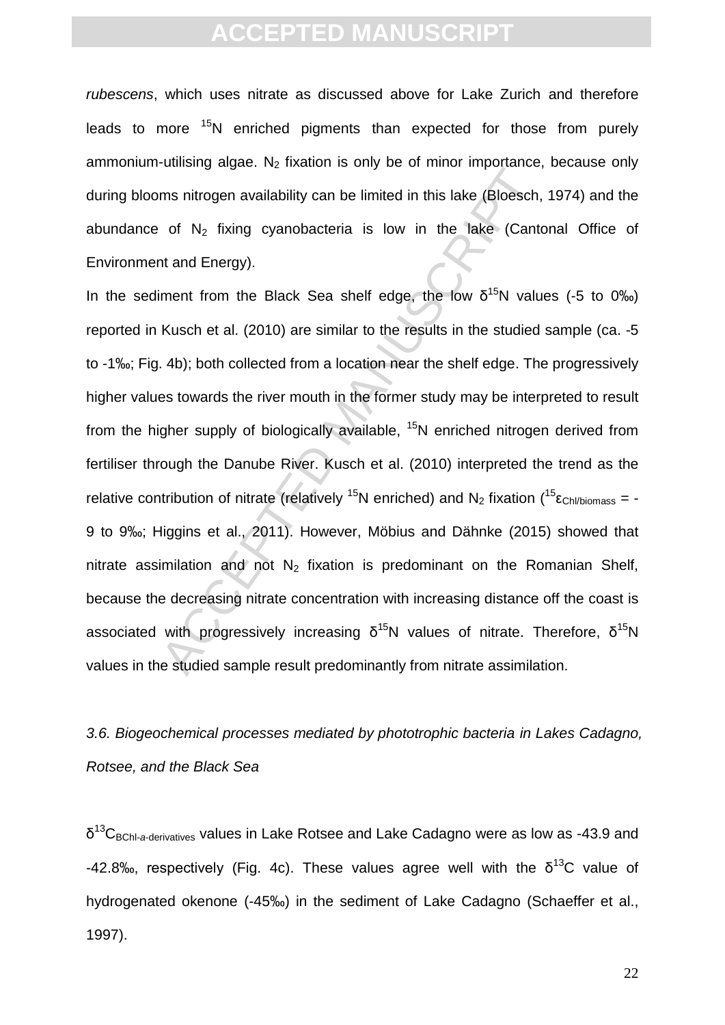*rubescens*, which uses nitrate as discussed above for Lake Zurich and therefore leads to more  $15N$  enriched pigments than expected for those from purely ammonium-utilising algae.  $N_2$  fixation is only be of minor importance, because only during blooms nitrogen availability can be limited in this lake (Bloesch, 1974) and the abundance of  $N<sub>2</sub>$  fixing cyanobacteria is low in the lake (Cantonal Office of Environment and Energy).

anianity algebring mathemic only be be initial importance,<br>ms nitrogen availability can be limited in this lake (Bloesch,<br>of N<sub>2</sub> fixing cyanobacteria is low in the lake (Cante<br>at and Energy).<br>iment from the Black Sea she In the sediment from the Black Sea shelf edge, the low  $\delta^{15}N$  values (-5 to 0‰) reported in Kusch et al. (2010) are similar to the results in the studied sample (ca. -5 to -1‰; Fig. 4b); both collected from a location near the shelf edge. The progressively higher values towards the river mouth in the former study may be interpreted to result from the higher supply of biologically available, <sup>15</sup>N enriched nitrogen derived from fertiliser through the Danube River. Kusch et al. (2010) interpreted the trend as the relative contribution of nitrate (relatively <sup>15</sup>N enriched) and N<sub>2</sub> fixation (<sup>15</sup> ε<sub>Chl/biomass</sub> = -9 to 9‰; Higgins et al., 2011). However, Möbius and Dähnke (2015) showed that nitrate assimilation and not  $N_2$  fixation is predominant on the Romanian Shelf, because the decreasing nitrate concentration with increasing distance off the coast is associated with progressively increasing  $\delta^{15}$ N values of nitrate. Therefore,  $\delta^{15}$ N values in the studied sample result predominantly from nitrate assimilation.

*3.6. Biogeochemical processes mediated by phototrophic bacteria in Lakes Cadagno, Rotsee, and the Black Sea*

δ<sup>13</sup>C<sub>BChl-a-derivatives</sub> values in Lake Rotsee and Lake Cadagno were as low as -43.9 and -42.8‰, respectively (Fig. 4c). These values agree well with the  $\delta^{13}C$  value of hydrogenated okenone (-45‰) in the sediment of Lake Cadagno (Schaeffer et al., 1997).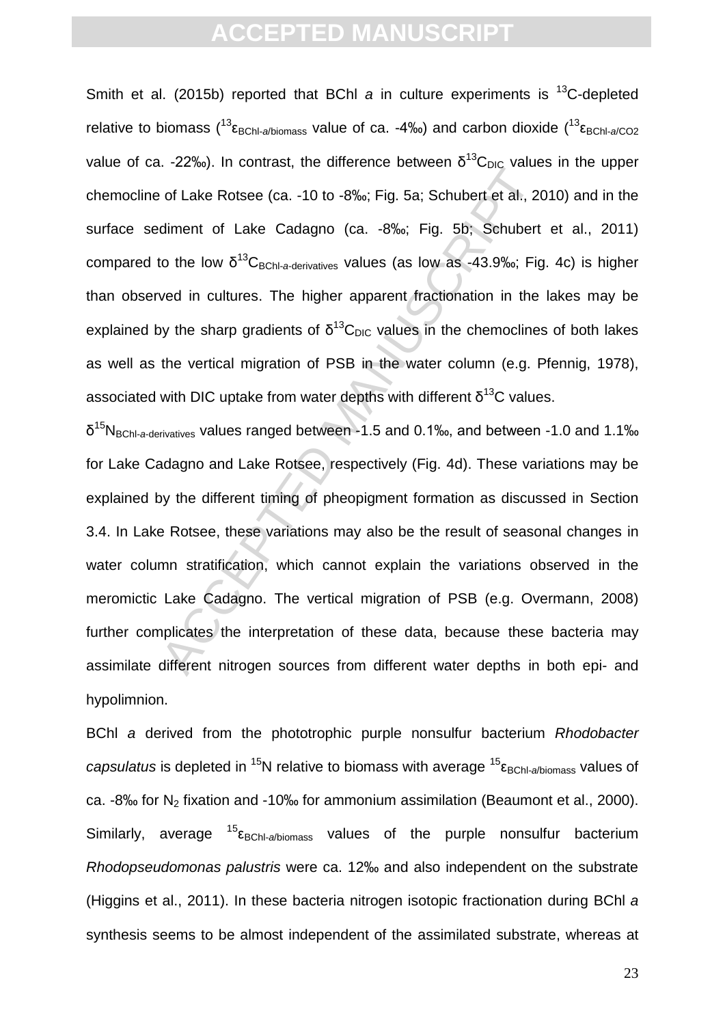Smith et al. (2015b) reported that BChl *a* in culture experiments is <sup>13</sup>C-depleted relative to biomass  $\binom{13}{2}$ <sub>EBChl-a/biomass</sub> value of ca. -4‰) and carbon dioxide  $\binom{13}{2}$ <sub>EBChl-a/CO2</sub> value of ca. -22‰). In contrast, the difference between  $\delta^{13}C_{\text{DIC}}$  values in the upper chemocline of Lake Rotsee (ca. -10 to -8‰; Fig. 5a; Schubert et al., 2010) and in the surface sediment of Lake Cadagno (ca. -8‰; Fig. 5b; Schubert et al., 2011) compared to the low δ<sup>13</sup>C<sub>BChl-a-derivatives</sub> values (as low as -43.9‰; Fig. 4c) is higher than observed in cultures. The higher apparent fractionation in the lakes may be explained by the sharp gradients of  $\delta^{13}C_{\text{DIC}}$  values in the chemoclines of both lakes as well as the vertical migration of PSB in the water column (e.g. Pfennig, 1978), associated with DIC uptake from water depths with different  $\delta^{13}$ C values.

 $\mu$  and the and the and the set of Lake Rotsee (ca. -10 to -8‰; Fig. 5a; Schubert et al., 20<br>diment of Lake Cadagno (ca. -8‰; Fig. 5b; Schubert et al., 20<br>diment of Lake Cadagno (ca. -8‰; Fig. 5b; Schubert<br>to the low  $\delta$ δ <sup>15</sup>NBChl-*a*-derivatives values ranged between -1.5 and 0.1‰, and between -1.0 and 1.1‰ for Lake Cadagno and Lake Rotsee, respectively (Fig. 4d). These variations may be explained by the different timing of pheopigment formation as discussed in Section 3.4. In Lake Rotsee, these variations may also be the result of seasonal changes in water column stratification, which cannot explain the variations observed in the meromictic Lake Cadagno. The vertical migration of PSB (e.g. Overmann, 2008) further complicates the interpretation of these data, because these bacteria may assimilate different nitrogen sources from different water depths in both epi- and hypolimnion.

BChl *a* derived from the phototrophic purple nonsulfur bacterium *Rhodobacter capsulatus* is depleted in <sup>15</sup>N relative to biomass with average <sup>15</sup>ε<sub>BChl-a/biomass</sub> values of ca.  $-8\%$  for N<sub>2</sub> fixation and  $-10\%$  for ammonium assimilation (Beaumont et al., 2000). Similarly, average  $^{15}$ <sub>EBChl-a/biomass</sub> values of the purple nonsulfur bacterium *Rhodopseudomonas palustris* were ca. 12‰ and also independent on the substrate (Higgins et al., 2011). In these bacteria nitrogen isotopic fractionation during BChl *a* synthesis seems to be almost independent of the assimilated substrate, whereas at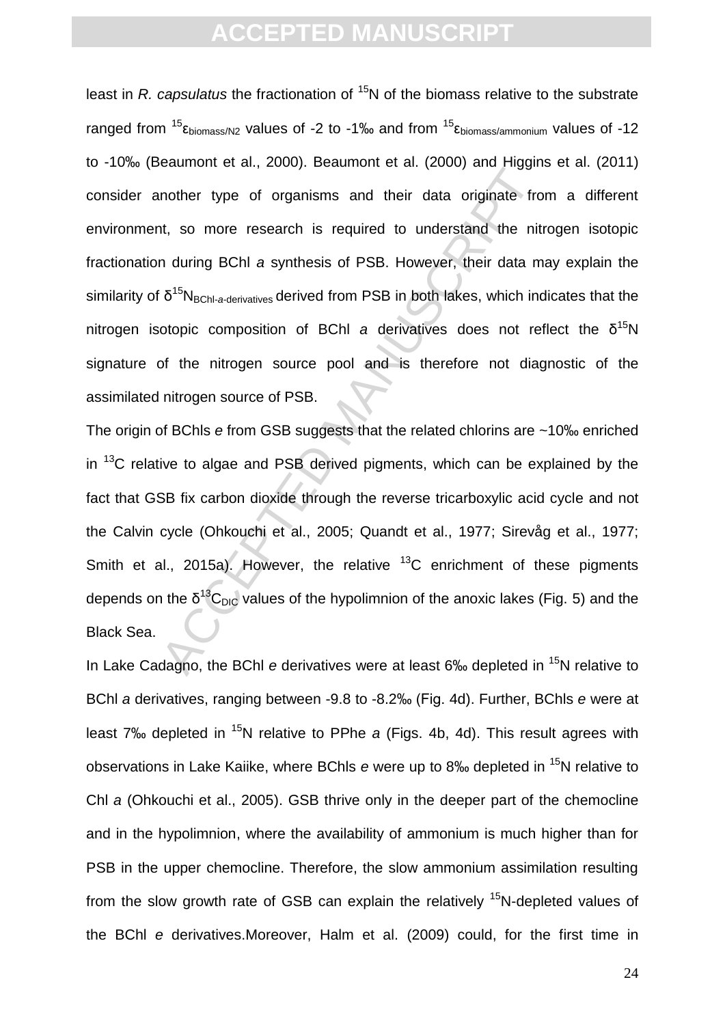ordinate of the metals and their data original entirely and the metals of the metals of the metals of the metals of  $\delta^{15}N_{\text{BChl-aderivatives}}$  derived from PSB in both lakes, which inducing BChI a synthesis of PSB. However, th least in *R. capsulatus* the fractionation of <sup>15</sup>N of the biomass relative to the substrate ranged from <sup>15</sup>ε<sub>biomass/N2</sub> values of -2 to -1‰ and from <sup>15</sup>ε<sub>biomass/ammonium</sub> values of -12 to -10‰ (Beaumont et al., 2000). Beaumont et al. (2000) and Higgins et al. (2011) consider another type of organisms and their data originate from a different environment, so more research is required to understand the nitrogen isotopic fractionation during BChl *a* synthesis of PSB. However, their data may explain the similarity of δ<sup>15</sup>N<sub>BChl-a-derivatives</sub> derived from PSB in both lakes, which indicates that the nitrogen isotopic composition of BChl a derivatives does not reflect the δ<sup>15</sup>N signature of the nitrogen source pool and is therefore not diagnostic of the assimilated nitrogen source of PSB.

The origin of BChls *e* from GSB suggests that the related chlorins are ~10‰ enriched in  $13<sup>C</sup>$  relative to algae and PSB derived pigments, which can be explained by the fact that GSB fix carbon dioxide through the reverse tricarboxylic acid cycle and not the Calvin cycle (Ohkouchi et al., 2005; Quandt et al., 1977; Sirevåg et al., 1977; Smith et al., 2015a). However, the relative  $13C$  enrichment of these pigments depends on the  $\delta^{13}C_{\text{DIC}}$  values of the hypolimnion of the anoxic lakes (Fig. 5) and the Black Sea.

In Lake Cadagno, the BChl *e* derivatives were at least 6‰ depleted in <sup>15</sup>N relative to BChl *a* derivatives, ranging between -9.8 to -8.2‰ (Fig. 4d). Further, BChls *e* were at least 7<sup>‰</sup> depleted in <sup>15</sup>N relative to PPhe *a* (Figs. 4b, 4d). This result agrees with observations in Lake Kaiike, where BChls *e* were up to 8‰ depleted in <sup>15</sup>N relative to Chl *a* (Ohkouchi et al., 2005). GSB thrive only in the deeper part of the chemocline and in the hypolimnion, where the availability of ammonium is much higher than for PSB in the upper chemocline. Therefore, the slow ammonium assimilation resulting from the slow growth rate of GSB can explain the relatively  $15N$ -depleted values of the BChl *e* derivatives.Moreover, Halm et al. (2009) could, for the first time in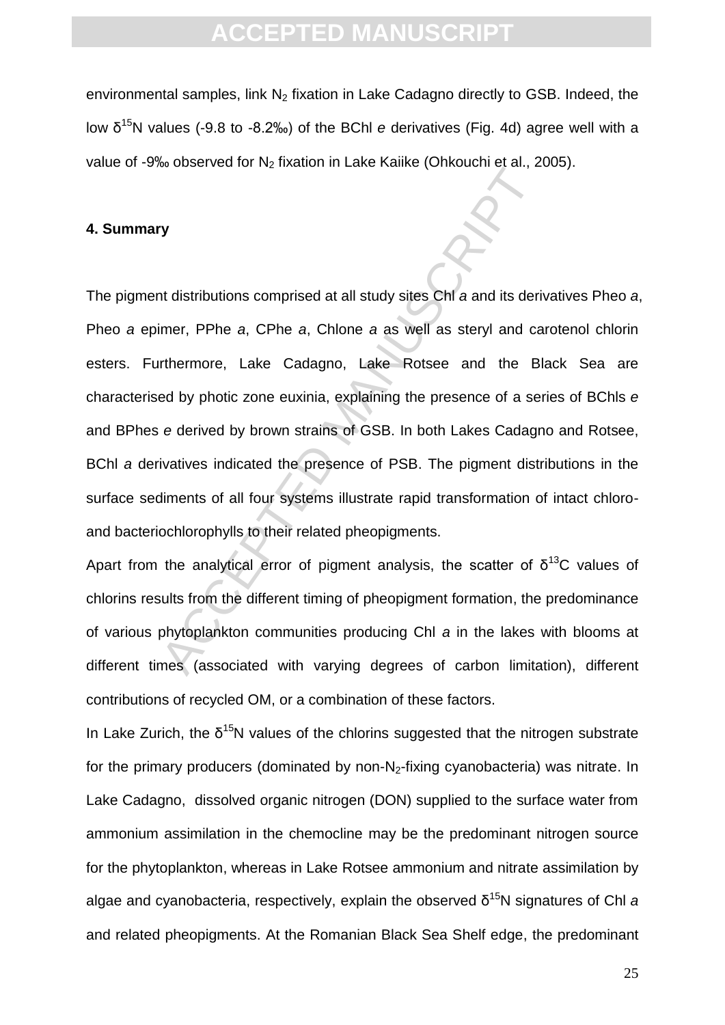environmental samples, link  $N_2$  fixation in Lake Cadagno directly to GSB. Indeed, the low δ<sup>15</sup>N values (-9.8 to -8.2‰) of the BChl *e* derivatives (Fig. 4d) agree well with a value of -9‰ observed for  $N_2$  fixation in Lake Kaiike (Ohkouchi et al., 2005).

#### **4. Summary**

The distributions comprised at all study sites ChI a and its derifference, PPhe a, CPhe a, Chlone a as well as steryl and can and the Bindmore, Lake Cadagno, Lake Rotsee and the Binded by photic zone euxinia, explaining th The pigment distributions comprised at all study sites Chl *a* and its derivatives Pheo *a*, Pheo *a* epimer, PPhe *a*, CPhe *a*, Chlone *a* as well as steryl and carotenol chlorin esters. Furthermore, Lake Cadagno, Lake Rotsee and the Black Sea are characterised by photic zone euxinia, explaining the presence of a series of BChls *e* and BPhes *e* derived by brown strains of GSB. In both Lakes Cadagno and Rotsee, BChl *a* derivatives indicated the presence of PSB. The pigment distributions in the surface sediments of all four systems illustrate rapid transformation of intact chloroand bacteriochlorophylls to their related pheopigments.

Apart from the analytical error of pigment analysis, the scatter of  $\delta^{13}C$  values of chlorins results from the different timing of pheopigment formation, the predominance of various phytoplankton communities producing Chl *a* in the lakes with blooms at different times (associated with varying degrees of carbon limitation), different contributions of recycled OM, or a combination of these factors.

In Lake Zurich, the  $\delta^{15}N$  values of the chlorins suggested that the nitrogen substrate for the primary producers (dominated by non- $N_2$ -fixing cyanobacteria) was nitrate. In Lake Cadagno, dissolved organic nitrogen (DON) supplied to the surface water from ammonium assimilation in the chemocline may be the predominant nitrogen source for the phytoplankton, whereas in Lake Rotsee ammonium and nitrate assimilation by algae and cyanobacteria, respectively, explain the observed δ <sup>15</sup>N signatures of Chl *a* and related pheopigments. At the Romanian Black Sea Shelf edge, the predominant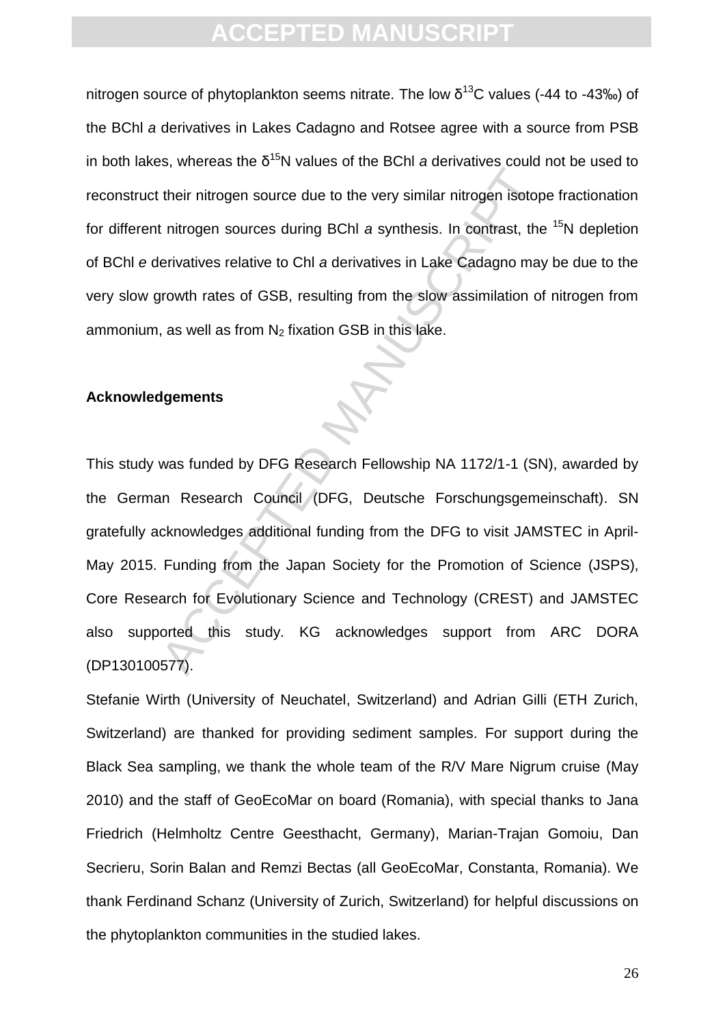nitrogen source of phytoplankton seems nitrate. The low  $\delta^{13}$ C values (-44 to -43‰) of the BChl *a* derivatives in Lakes Cadagno and Rotsee agree with a source from PSB in both lakes, whereas the  $\delta^{15}N$  values of the BChl *a* derivatives could not be used to reconstruct their nitrogen source due to the very similar nitrogen isotope fractionation for different nitrogen sources during BChl *a* synthesis. In contrast, the <sup>15</sup>N depletion of BChl *e* derivatives relative to Chl *a* derivatives in Lake Cadagno may be due to the very slow growth rates of GSB, resulting from the slow assimilation of nitrogen from ammonium, as well as from  $N_2$  fixation GSB in this lake.

#### **Acknowledgements**

Heri mitrogen source due to the very similar nitrogen isotop<br>
their nitrogen sources during BChI a synthesis. In contrast, the<br>
erivatives relative to ChI a derivatives in Lake Cadagno may<br>
growth rates of GSB, resulting f This study was funded by DFG Research Fellowship NA 1172/1-1 (SN), awarded by the German Research Council (DFG, Deutsche Forschungsgemeinschaft). SN gratefully acknowledges additional funding from the DFG to visit JAMSTEC in April-May 2015. Funding from the Japan Society for the Promotion of Science (JSPS), Core Research for Evolutionary Science and Technology (CREST) and JAMSTEC also supported this study. KG acknowledges support from ARC DORA (DP130100577).

Stefanie Wirth (University of Neuchatel, Switzerland) and Adrian Gilli (ETH Zurich, Switzerland) are thanked for providing sediment samples. For support during the Black Sea sampling, we thank the whole team of the R/V Mare Nigrum cruise (May 2010) and the staff of GeoEcoMar on board (Romania), with special thanks to Jana Friedrich (Helmholtz Centre Geesthacht, Germany), Marian-Trajan Gomoiu, Dan Secrieru, Sorin Balan and Remzi Bectas (all GeoEcoMar, Constanta, Romania). We thank Ferdinand Schanz (University of Zurich, Switzerland) for helpful discussions on the phytoplankton communities in the studied lakes.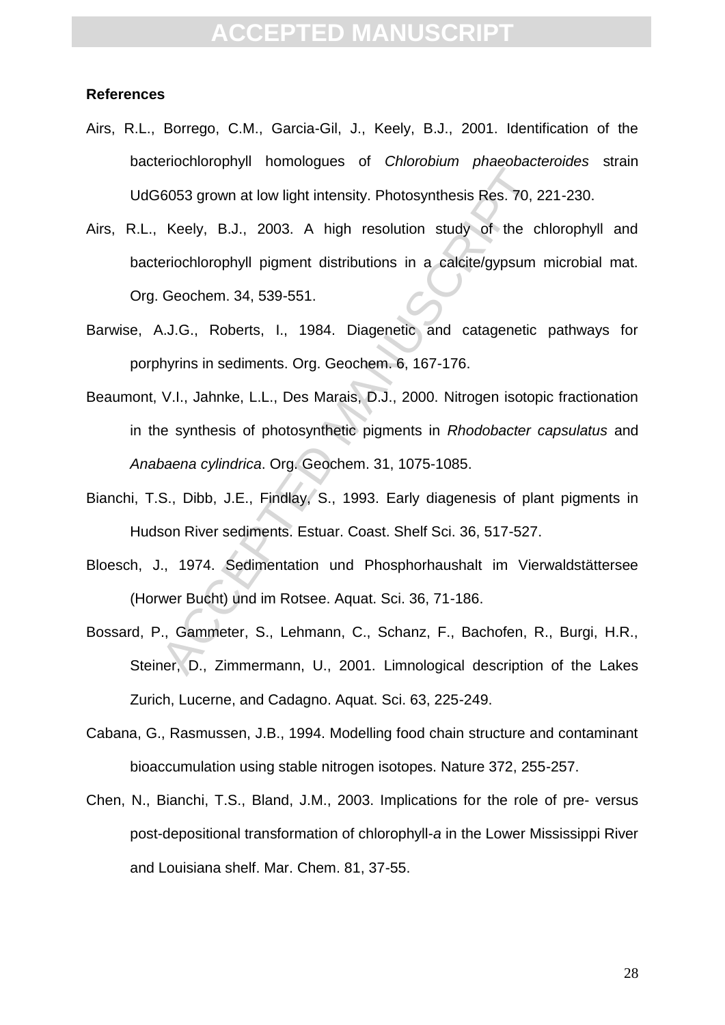#### **References**

- Airs, R.L., Borrego, C.M., Garcia-Gil, J., Keely, B.J., 2001. Identification of the bacteriochlorophyll homologues of *Chlorobium phaeobacteroides* strain UdG6053 grown at low light intensity. Photosynthesis Res. 70, 221-230.
- Realtack prior interests. Protoconthesis Res. 70, 2<br>
Keely, B.J., 2003. A high resolution study of the cheriochlorophyll pigment distributions in a calcite/gypsum<br>
Geochem. 34, 539-551.<br>
A.J.G., Roberts, I., 1984. Diagenet Airs, R.L., Keely, B.J., 2003. A high resolution study of the chlorophyll and bacteriochlorophyll pigment distributions in a calcite/gypsum microbial mat. Org. Geochem. 34, 539-551.
- Barwise, A.J.G., Roberts, I., 1984. Diagenetic and catagenetic pathways for porphyrins in sediments. Org. Geochem. 6, 167-176.
- Beaumont, V.I., Jahnke, L.L., Des Marais, D.J., 2000. Nitrogen isotopic fractionation in the synthesis of photosynthetic pigments in *Rhodobacter capsulatus* and *Anabaena cylindrica*. Org. Geochem. 31, 1075-1085.
- Bianchi, T.S., Dibb, J.E., Findlay, S., 1993. Early diagenesis of plant pigments in Hudson River sediments. Estuar. Coast. Shelf Sci. 36, 517-527.
- Bloesch, J., 1974. Sedimentation und Phosphorhaushalt im Vierwaldstättersee (Horwer Bucht) und im Rotsee. Aquat. Sci. 36, 71-186.
- Bossard, P., Gammeter, S., Lehmann, C., Schanz, F., Bachofen, R., Burgi, H.R., Steiner, D., Zimmermann, U., 2001. Limnological description of the Lakes Zurich, Lucerne, and Cadagno. Aquat. Sci. 63, 225-249.
- Cabana, G., Rasmussen, J.B., 1994. Modelling food chain structure and contaminant bioaccumulation using stable nitrogen isotopes. Nature 372, 255-257.
- Chen, N., Bianchi, T.S., Bland, J.M., 2003. Implications for the role of pre- versus post-depositional transformation of chlorophyll-*a* in the Lower Mississippi River and Louisiana shelf. Mar. Chem. 81, 37-55.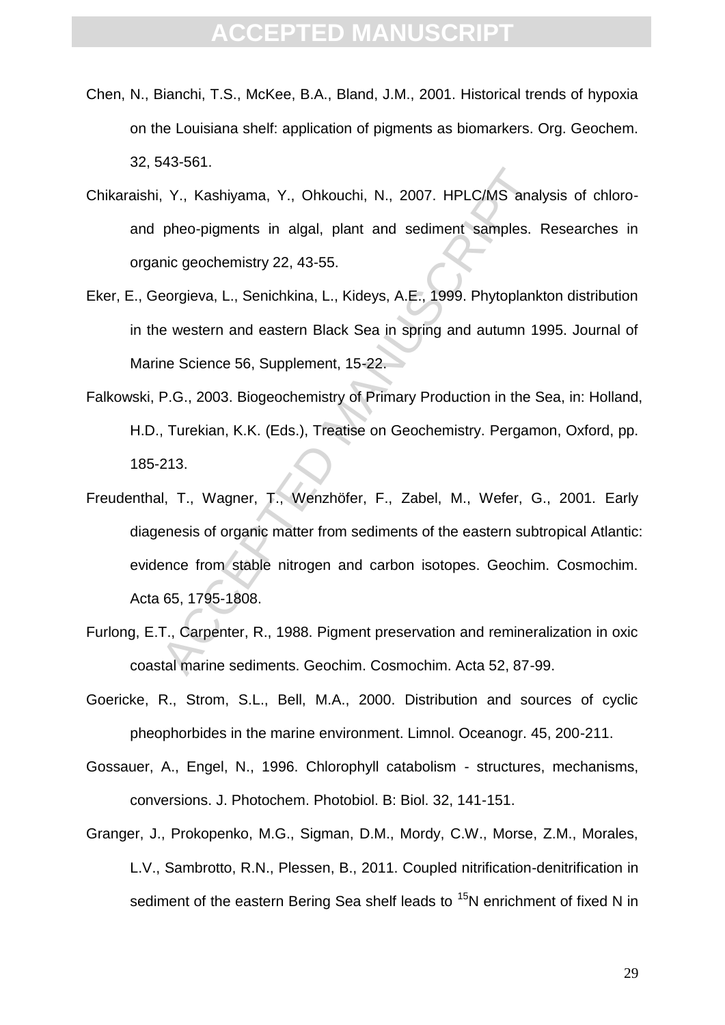- Chen, N., Bianchi, T.S., McKee, B.A., Bland, J.M., 2001. Historical trends of hypoxia on the Louisiana shelf: application of pigments as biomarkers. Org. Geochem. 32, 543-561.
- Chikaraishi, Y., Kashiyama, Y., Ohkouchi, N., 2007. HPLC/MS analysis of chloroand pheo-pigments in algal, plant and sediment samples. Researches in organic geochemistry 22, 43-55.
- Eker, E., Georgieva, L., Senichkina, L., Kideys, A.E., 1999. Phytoplankton distribution in the western and eastern Black Sea in spring and autumn 1995. Journal of Marine Science 56, Supplement, 15-22.
- Falkowski, P.G., 2003. Biogeochemistry of Primary Production in the Sea, in: Holland, H.D., Turekian, K.K. (Eds.), Treatise on Geochemistry. Pergamon, Oxford, pp. 185-213.
- Accessive Manuscript N. 2007. HPLC/MS analy<br>
pheo-pigments in algal, plant and sediment samples. I<br>
nic geochemistry 22, 43-55.<br>
eorgieva, L., Senichkina, L., Kideys, A.E., 1999. Phytoplank<br>
e western and eastern Black Sea Freudenthal, T., Wagner, T., Wenzhöfer, F., Zabel, M., Wefer, G., 2001. Early diagenesis of organic matter from sediments of the eastern subtropical Atlantic: evidence from stable nitrogen and carbon isotopes. Geochim. Cosmochim. Acta 65, 1795-1808.
- Furlong, E.T., Carpenter, R., 1988. Pigment preservation and remineralization in oxic coastal marine sediments. Geochim. Cosmochim. Acta 52, 87-99.
- Goericke, R., Strom, S.L., Bell, M.A., 2000. Distribution and sources of cyclic pheophorbides in the marine environment. Limnol. Oceanogr. 45, 200-211.
- Gossauer, A., Engel, N., 1996. Chlorophyll catabolism structures, mechanisms, conversions. J. Photochem. Photobiol. B: Biol. 32, 141-151.
- Granger, J., Prokopenko, M.G., Sigman, D.M., Mordy, C.W., Morse, Z.M., Morales, L.V., Sambrotto, R.N., Plessen, B., 2011. Coupled nitrification-denitrification in sediment of the eastern Bering Sea shelf leads to  $15N$  enrichment of fixed N in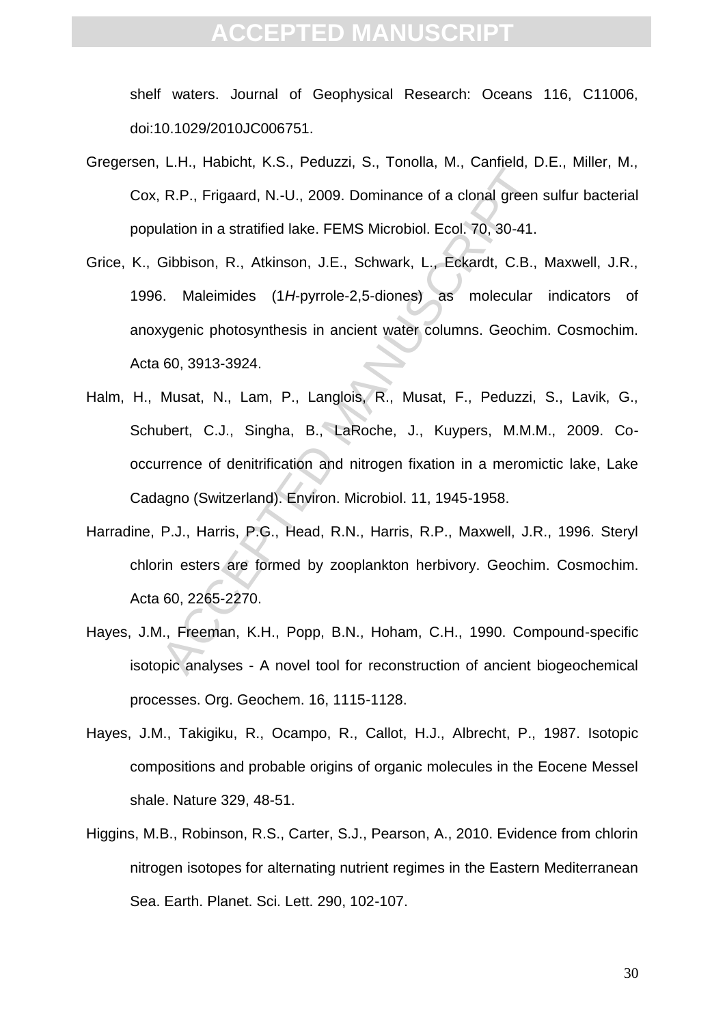shelf waters. Journal of Geophysical Research: Oceans 116, C11006, doi:10.1029/2010JC006751.

- Gregersen, L.H., Habicht, K.S., Peduzzi, S., Tonolla, M., Canfield, D.E., Miller, M., Cox, R.P., Frigaard, N.-U., 2009. Dominance of a clonal green sulfur bacterial population in a stratified lake. FEMS Microbiol. Ecol. 70, 30-41.
- 2.1.1, Freenan, N.O., 192.009. Dominance of a clonal green<br>
Ilation in a stratified lake. FEMS Microbiol. Ecol. 70, 30-41.<br>
Gibbison, R., Atkinson, J.E., Schwark, L., Eckardt, C.B.,<br>
3. Maleimides (1*H*-pyrrole-2,5-diones) Grice, K., Gibbison, R., Atkinson, J.E., Schwark, L., Eckardt, C.B., Maxwell, J.R., 1996. Maleimides (1*H*-pyrrole-2,5-diones) as molecular indicators of anoxygenic photosynthesis in ancient water columns. Geochim. Cosmochim. Acta 60, 3913-3924.
- Halm, H., Musat, N., Lam, P., Langlois, R., Musat, F., Peduzzi, S., Lavik, G., Schubert, C.J., Singha, B., LaRoche, J., Kuypers, M.M.M., 2009. Cooccurrence of denitrification and nitrogen fixation in a meromictic lake, Lake Cadagno (Switzerland). Environ. Microbiol. 11, 1945-1958.
- Harradine, P.J., Harris, P.G., Head, R.N., Harris, R.P., Maxwell, J.R., 1996. Steryl chlorin esters are formed by zooplankton herbivory. Geochim. Cosmochim. Acta 60, 2265-2270.
- Hayes, J.M., Freeman, K.H., Popp, B.N., Hoham, C.H., 1990. Compound-specific isotopic analyses - A novel tool for reconstruction of ancient biogeochemical processes. Org. Geochem. 16, 1115-1128.
- Hayes, J.M., Takigiku, R., Ocampo, R., Callot, H.J., Albrecht, P., 1987. Isotopic compositions and probable origins of organic molecules in the Eocene Messel shale. Nature 329, 48-51.
- Higgins, M.B., Robinson, R.S., Carter, S.J., Pearson, A., 2010. Evidence from chlorin nitrogen isotopes for alternating nutrient regimes in the Eastern Mediterranean Sea. Earth. Planet. Sci. Lett. 290, 102-107.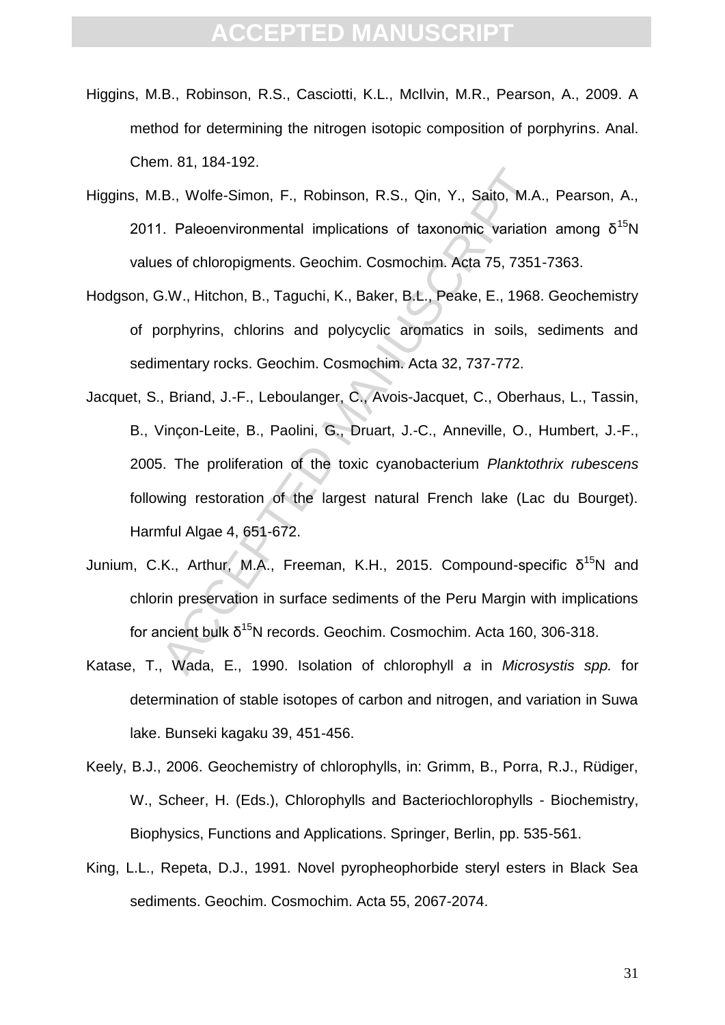- Higgins, M.B., Robinson, R.S., Casciotti, K.L., McIlvin, M.R., Pearson, A., 2009. A method for determining the nitrogen isotopic composition of porphyrins. Anal. Chem. 81, 184-192.
- Higgins, M.B., Wolfe-Simon, F., Robinson, R.S., Qin, Y., Saito, M.A., Pearson, A., 2011. Paleoenvironmental implications of taxonomic variation among  $δ<sup>15</sup>N$ values of chloropigments. Geochim. Cosmochim. Acta 75, 7351-7363.
- Hodgson, G.W., Hitchon, B., Taguchi, K., Baker, B.L., Peake, E., 1968. Geochemistry of porphyrins, chlorins and polycyclic aromatics in soils, sediments and sedimentary rocks. Geochim. Cosmochim. Acta 32, 737-772.
- I.e., Wolfe-Simon, F., Robinson, R.S., Qin, Y., Saito, M.A.<br>I. Paleoenvironmental implications of taxonomic variations<br>as of chloropigments. Geochim. Cosmochim. Acta 75, 7351<br>5.W., Hitchon, B., Taguchi, K., Baker, B.L., Pe Jacquet, S., Briand, J.-F., Leboulanger, C., Avois-Jacquet, C., Oberhaus, L., Tassin, B., Vinçon-Leite, B., Paolini, G., Druart, J.-C., Anneville, O., Humbert, J.-F., 2005. The proliferation of the toxic cyanobacterium *Planktothrix rubescens* following restoration of the largest natural French lake (Lac du Bourget). Harmful Algae 4, 651-672.
- Junium, C.K., Arthur, M.A., Freeman, K.H., 2015. Compound-specific  $\delta^{15}N$  and chlorin preservation in surface sediments of the Peru Margin with implications for ancient bulk  $δ^{15}$ N records. Geochim. Cosmochim. Acta 160, 306-318.
- Katase, T., Wada, E., 1990. Isolation of chlorophyll *a* in *Microsystis spp.* for determination of stable isotopes of carbon and nitrogen, and variation in Suwa lake. Bunseki kagaku 39, 451-456.
- Keely, B.J., 2006. Geochemistry of chlorophylls, in: Grimm, B., Porra, R.J., Rüdiger, W., Scheer, H. (Eds.), Chlorophylls and Bacteriochlorophylls - Biochemistry, Biophysics, Functions and Applications. Springer, Berlin, pp. 535-561.
- King, L.L., Repeta, D.J., 1991. Novel pyropheophorbide steryl esters in Black Sea sediments. Geochim. Cosmochim. Acta 55, 2067-2074.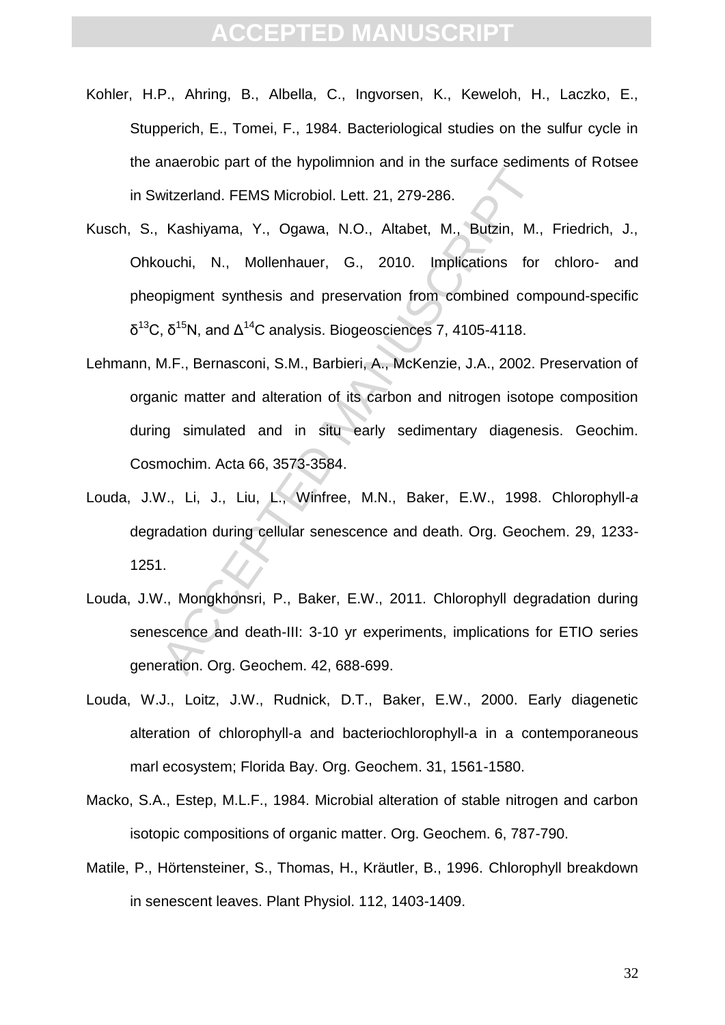- Kohler, H.P., Ahring, B., Albella, C., Ingvorsen, K., Keweloh, H., Laczko, E., Stupperich, E., Tomei, F., 1984. Bacteriological studies on the sulfur cycle in the anaerobic part of the hypolimnion and in the surface sediments of Rotsee in Switzerland. FEMS Microbiol. Lett. 21, 279-286.
- Mitzerland. FEMS Microbiol. Lett. 21, 279-286.<br>
Kashiyama, Y., Ogawa, N.O., Altabet, M., Butzin, M.,<br>
buchi, N., Mollenhauer, G., 2010. Implications for<br>
pigment synthesis and preservation from combined com<br>
, δ<sup>15</sup>N, and Kusch, S., Kashiyama, Y., Ogawa, N.O., Altabet, M., Butzin, M., Friedrich, J., Ohkouchi, N., Mollenhauer, G., 2010. Implications for chloro- and pheopigment synthesis and preservation from combined compound-specific  $\delta^{13}$ C,  $\delta^{15}$ N, and  $\Delta^{14}$ C analysis. Biogeosciences 7, 4105-4118.
- Lehmann, M.F., Bernasconi, S.M., Barbieri, A., McKenzie, J.A., 2002. Preservation of organic matter and alteration of its carbon and nitrogen isotope composition during simulated and in situ early sedimentary diagenesis. Geochim. Cosmochim. Acta 66, 3573-3584.
- Louda, J.W., Li, J., Liu, L., Winfree, M.N., Baker, E.W., 1998. Chlorophyll-*a* degradation during cellular senescence and death. Org. Geochem. 29, 1233- 1251.
- Louda, J.W., Mongkhonsri, P., Baker, E.W., 2011. Chlorophyll degradation during senescence and death-III: 3-10 yr experiments, implications for ETIO series generation. Org. Geochem. 42, 688-699.
- Louda, W.J., Loitz, J.W., Rudnick, D.T., Baker, E.W., 2000. Early diagenetic alteration of chlorophyll-a and bacteriochlorophyll-a in a contemporaneous marl ecosystem; Florida Bay. Org. Geochem. 31, 1561-1580.
- Macko, S.A., Estep, M.L.F., 1984. Microbial alteration of stable nitrogen and carbon isotopic compositions of organic matter. Org. Geochem. 6, 787-790.
- Matile, P., Hörtensteiner, S., Thomas, H., Kräutler, B., 1996. Chlorophyll breakdown in senescent leaves. Plant Physiol. 112, 1403-1409.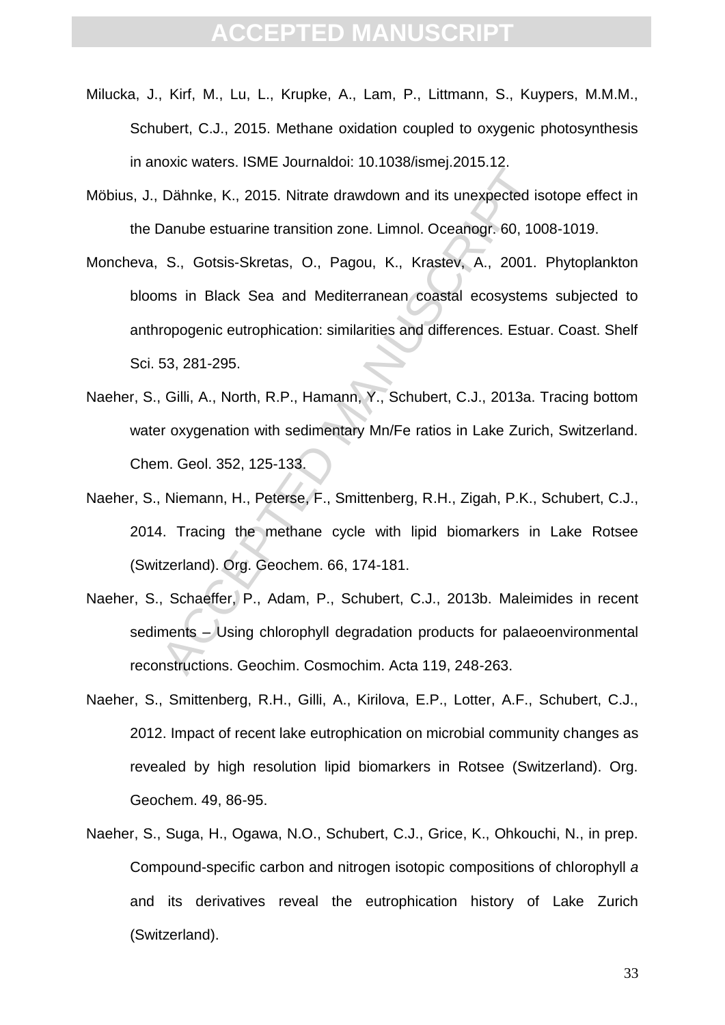- Milucka, J., Kirf, M., Lu, L., Krupke, A., Lam, P., Littmann, S., Kuypers, M.M.M., Schubert, C.J., 2015. Methane oxidation coupled to oxygenic photosynthesis in anoxic waters. ISME Journaldoi: 10.1038/ismej.2015.12.
- Möbius, J., Dähnke, K., 2015. Nitrate drawdown and its unexpected isotope effect in the Danube estuarine transition zone. Limnol. Oceanogr. 60, 1008-1019.
- Dahnke, K., 2015. Nitrate drawdown and its unexpected is<br>Danube estuarine transition zone. Limnol. Oceanogr. 60, 100<br>S., Gotsis-Skretas, O., Pagou, K., Krastev, A., 2001.<br>ms in Black Sea and Mediterranean coastal ecosystem Moncheva, S., Gotsis-Skretas, O., Pagou, K., Krastev, A., 2001. Phytoplankton blooms in Black Sea and Mediterranean coastal ecosystems subjected to anthropogenic eutrophication: similarities and differences. Estuar. Coast. Shelf Sci. 53, 281-295.
- Naeher, S., Gilli, A., North, R.P., Hamann, Y., Schubert, C.J., 2013a. Tracing bottom water oxygenation with sedimentary Mn/Fe ratios in Lake Zurich, Switzerland. Chem. Geol. 352, 125-133.
- Naeher, S., Niemann, H., Peterse, F., Smittenberg, R.H., Zigah, P.K., Schubert, C.J., 2014. Tracing the methane cycle with lipid biomarkers in Lake Rotsee (Switzerland). Org. Geochem. 66, 174-181.
- Naeher, S., Schaeffer, P., Adam, P., Schubert, C.J., 2013b. Maleimides in recent sediments – Using chlorophyll degradation products for palaeoenvironmental reconstructions. Geochim. Cosmochim. Acta 119, 248-263.
- Naeher, S., Smittenberg, R.H., Gilli, A., Kirilova, E.P., Lotter, A.F., Schubert, C.J., 2012. Impact of recent lake eutrophication on microbial community changes as revealed by high resolution lipid biomarkers in Rotsee (Switzerland). Org. Geochem. 49, 86-95.
- Naeher, S., Suga, H., Ogawa, N.O., Schubert, C.J., Grice, K., Ohkouchi, N., in prep. Compound-specific carbon and nitrogen isotopic compositions of chlorophyll *a* and its derivatives reveal the eutrophication history of Lake Zurich (Switzerland).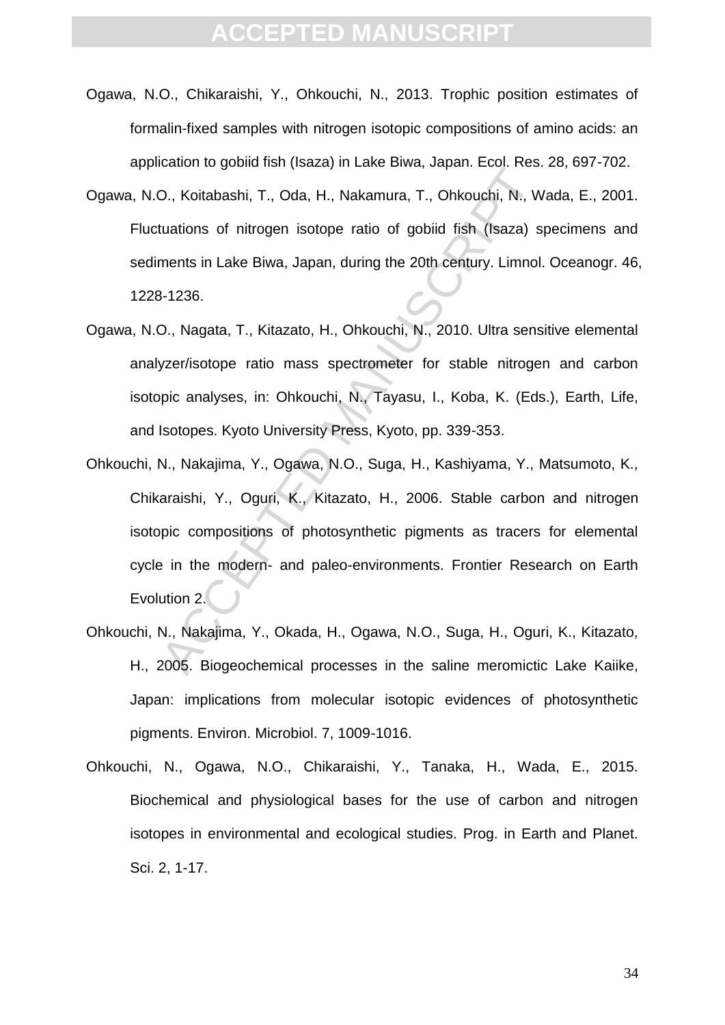- Ogawa, N.O., Chikaraishi, Y., Ohkouchi, N., 2013. Trophic position estimates of formalin-fixed samples with nitrogen isotopic compositions of amino acids: an application to gobiid fish (Isaza) in Lake Biwa, Japan. Ecol. Res. 28, 697-702.
- Ogawa, N.O., Koitabashi, T., Oda, H., Nakamura, T., Ohkouchi, N., Wada, E., 2001. Fluctuations of nitrogen isotope ratio of gobiid fish (Isaza) specimens and sediments in Lake Biwa, Japan, during the 20th century. Limnol. Oceanogr. 46, 1228-1236.
- Ogawa, N.O., Nagata, T., Kitazato, H., Ohkouchi, N., 2010. Ultra sensitive elemental analyzer/isotope ratio mass spectrometer for stable nitrogen and carbon isotopic analyses, in: Ohkouchi, N., Tayasu, I., Koba, K. (Eds.), Earth, Life, and Isotopes. Kyoto University Press, Kyoto, pp. 339-353.
- D., Koitabashi, T., Oda, H., Nakamura, T., Ohkouchi, N., W<br>tuations of nitrogen isotope ratio of gobiid fish (Isaza) s<br>ments in Lake Biwa, Japan, during the 20th century. Limnol.<br>3-1236.<br>D., Nagata, T., Kitazato, H., Ohkou Ohkouchi, N., Nakajima, Y., Ogawa, N.O., Suga, H., Kashiyama, Y., Matsumoto, K., Chikaraishi, Y., Oguri, K., Kitazato, H., 2006. Stable carbon and nitrogen isotopic compositions of photosynthetic pigments as tracers for elemental cycle in the modern- and paleo-environments. Frontier Research on Earth Evolution 2.
- Ohkouchi, N., Nakajima, Y., Okada, H., Ogawa, N.O., Suga, H., Oguri, K., Kitazato, H., 2005. Biogeochemical processes in the saline meromictic Lake Kaiike, Japan: implications from molecular isotopic evidences of photosynthetic pigments. Environ. Microbiol. 7, 1009-1016.
- Ohkouchi, N., Ogawa, N.O., Chikaraishi, Y., Tanaka, H., Wada, E., 2015. Biochemical and physiological bases for the use of carbon and nitrogen isotopes in environmental and ecological studies. Prog. in Earth and Planet. Sci. 2, 1-17.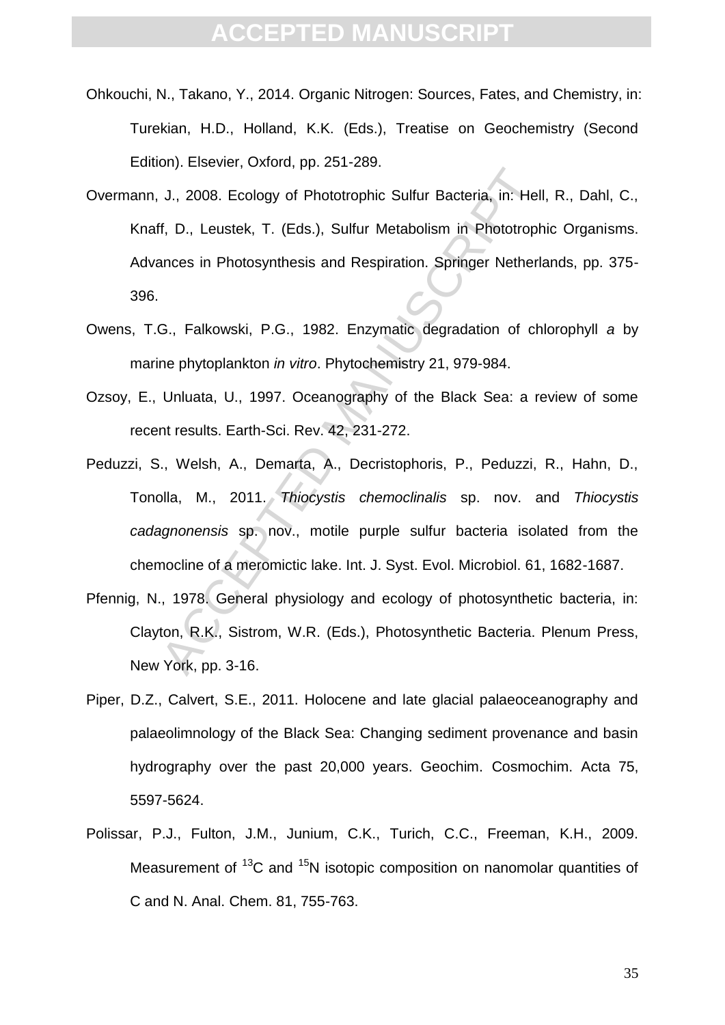- Ohkouchi, N., Takano, Y., 2014. Organic Nitrogen: Sources, Fates, and Chemistry, in: Turekian, H.D., Holland, K.K. (Eds.), Treatise on Geochemistry (Second Edition). Elsevier, Oxford, pp. 251-289.
- J., 2008. Ecology of Phototrophic Sulfur Bacteria, in: Hell<br>f, D., Leustek, T. (Eds.), Sulfur Metabolism in Phototroph<br>ances in Photosynthesis and Respiration. Springer Netherland<br>G., Falkowski, P.G., 1982. Enzymatic degra Overmann, J., 2008. Ecology of Phototrophic Sulfur Bacteria, in: Hell, R., Dahl, C., Knaff, D., Leustek, T. (Eds.), Sulfur Metabolism in Phototrophic Organisms. Advances in Photosynthesis and Respiration. Springer Netherlands, pp. 375- 396.
- Owens, T.G., Falkowski, P.G., 1982. Enzymatic degradation of chlorophyll *a* by marine phytoplankton *in vitro*. Phytochemistry 21, 979-984.
- Ozsoy, E., Unluata, U., 1997. Oceanography of the Black Sea: a review of some recent results. Earth-Sci. Rev. 42, 231-272.
- Peduzzi, S., Welsh, A., Demarta, A., Decristophoris, P., Peduzzi, R., Hahn, D., Tonolla, M., 2011. *Thiocystis chemoclinalis* sp. nov. and *Thiocystis cadagnonensis* sp. nov., motile purple sulfur bacteria isolated from the chemocline of a meromictic lake. Int. J. Syst. Evol. Microbiol. 61, 1682-1687.
- Pfennig, N., 1978. General physiology and ecology of photosynthetic bacteria, in: Clayton, R.K., Sistrom, W.R. (Eds.), Photosynthetic Bacteria. Plenum Press, New York, pp. 3-16.
- Piper, D.Z., Calvert, S.E., 2011. Holocene and late glacial palaeoceanography and palaeolimnology of the Black Sea: Changing sediment provenance and basin hydrography over the past 20,000 years. Geochim. Cosmochim. Acta 75, 5597-5624.
- Polissar, P.J., Fulton, J.M., Junium, C.K., Turich, C.C., Freeman, K.H., 2009. Measurement of  ${}^{13}C$  and  ${}^{15}N$  isotopic composition on nanomolar quantities of C and N. Anal. Chem. 81, 755-763.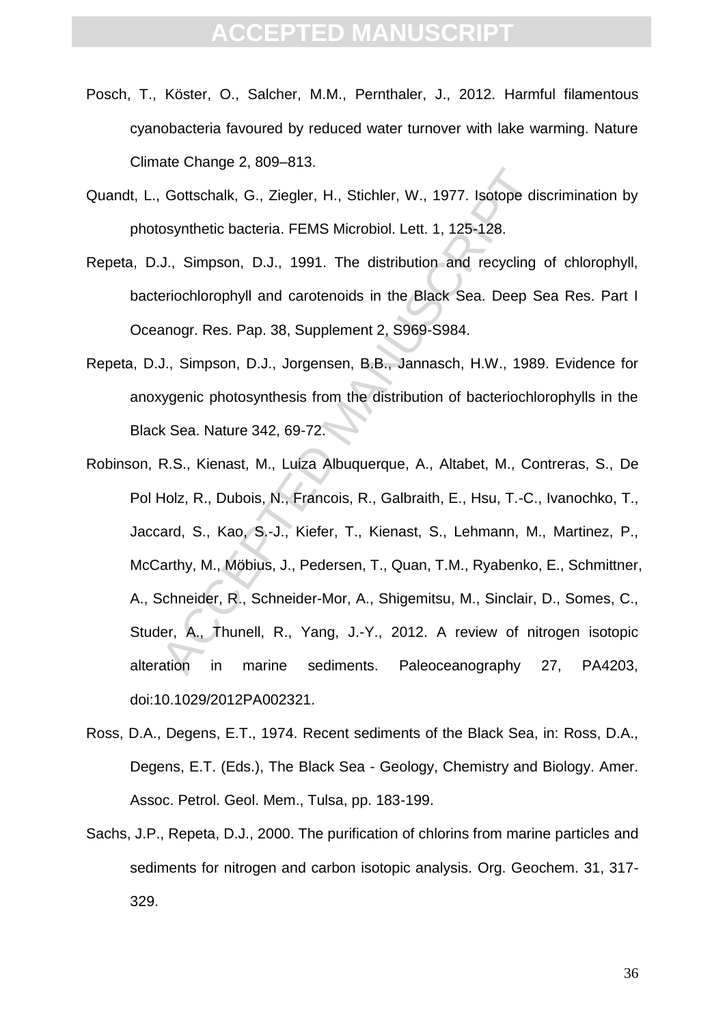- Posch, T., Köster, O., Salcher, M.M., Pernthaler, J., 2012. Harmful filamentous cyanobacteria favoured by reduced water turnover with lake warming. Nature Climate Change 2, 809–813.
- Quandt, L., Gottschalk, G., Ziegler, H., Stichler, W., 1977. Isotope discrimination by photosynthetic bacteria. FEMS Microbiol. Lett. 1, 125-128.
- Repeta, D.J., Simpson, D.J., 1991. The distribution and recycling of chlorophyll, bacteriochlorophyll and carotenoids in the Black Sea. Deep Sea Res. Part I Oceanogr. Res. Pap. 38, Supplement 2, S969-S984.
- Repeta, D.J., Simpson, D.J., Jorgensen, B.B., Jannasch, H.W., 1989. Evidence for anoxygenic photosynthesis from the distribution of bacteriochlorophylls in the Black Sea. Nature 342, 69-72.
- Coloring Press Prose Prose Prose Prose Prose Prose Prose Prose Prose Prose Prose Consensynthetic bacteria. FEMS Microbiol. Lett. 1, 125-128.<br>
J., Simpson, D.J., 1991. The distribution and recycling<br>
eriochlorophyll and car Robinson, R.S., Kienast, M., Luiza Albuquerque, A., Altabet, M., Contreras, S., De Pol Holz, R., Dubois, N., Francois, R., Galbraith, E., Hsu, T.-C., Ivanochko, T., Jaccard, S., Kao, S.-J., Kiefer, T., Kienast, S., Lehmann, M., Martinez, P., McCarthy, M., Möbius, J., Pedersen, T., Quan, T.M., Ryabenko, E., Schmittner, A., Schneider, R., Schneider-Mor, A., Shigemitsu, M., Sinclair, D., Somes, C., Studer, A., Thunell, R., Yang, J.-Y., 2012. A review of nitrogen isotopic alteration in marine sediments. Paleoceanography 27, PA4203, doi:10.1029/2012PA002321.
- Ross, D.A., Degens, E.T., 1974. Recent sediments of the Black Sea, in: Ross, D.A., Degens, E.T. (Eds.), The Black Sea - Geology, Chemistry and Biology. Amer. Assoc. Petrol. Geol. Mem., Tulsa, pp. 183-199.
- Sachs, J.P., Repeta, D.J., 2000. The purification of chlorins from marine particles and sediments for nitrogen and carbon isotopic analysis. Org. Geochem. 31, 317- 329.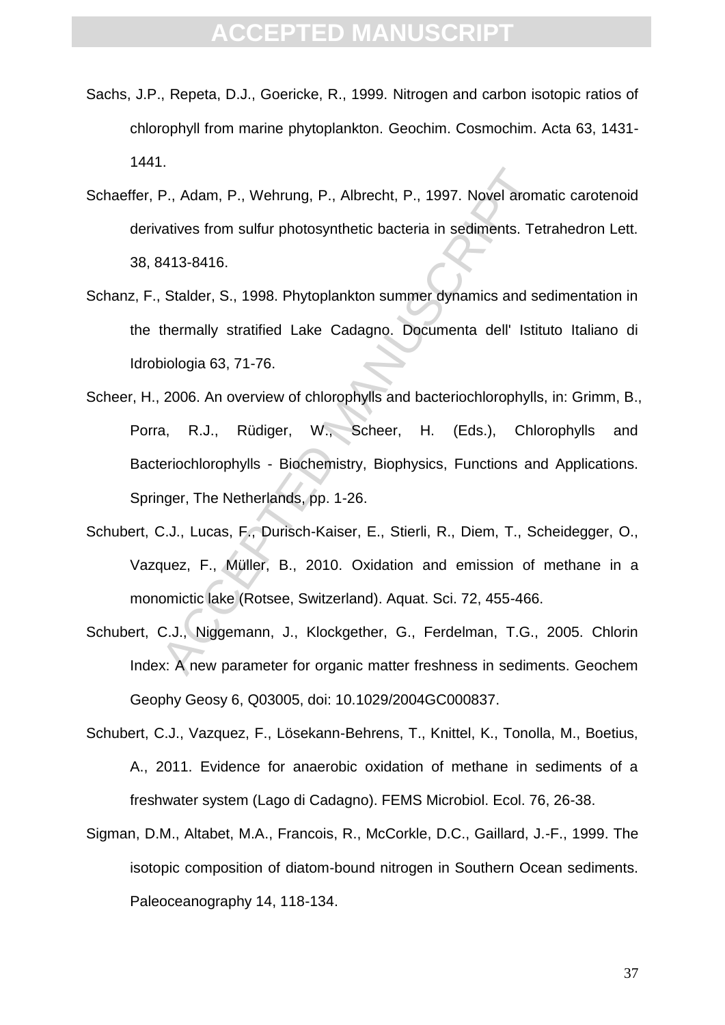- Sachs, J.P., Repeta, D.J., Goericke, R., 1999. Nitrogen and carbon isotopic ratios of chlorophyll from marine phytoplankton. Geochim. Cosmochim. Acta 63, 1431- 1441.
- Schaeffer, P., Adam, P., Wehrung, P., Albrecht, P., 1997. Novel aromatic carotenoid derivatives from sulfur photosynthetic bacteria in sediments. Tetrahedron Lett. 38, 8413-8416.
- Schanz, F., Stalder, S., 1998. Phytoplankton summer dynamics and sedimentation in the thermally stratified Lake Cadagno. Documenta dell' Istituto Italiano di Idrobiologia 63, 71-76.
- 1. Adam, P., Wehrung, P., Albrecht, P., 1997. Novel arom<br>
2. Adam, P., Wehrung, P., Albrecht, P., 1997. Novel arom<br>
2. Adam Stalder, S., 1998. Phytoplankton summer dynamics and set<br>
2. Stalder, S., 1998. Phytoplankton summ Scheer, H., 2006. An overview of chlorophylls and bacteriochlorophylls, in: Grimm, B., Porra, R.J., Rüdiger, W., Scheer, H. (Eds.), Chlorophylls and Bacteriochlorophylls - Biochemistry, Biophysics, Functions and Applications. Springer, The Netherlands, pp. 1-26.
- Schubert, C.J., Lucas, F., Durisch-Kaiser, E., Stierli, R., Diem, T., Scheidegger, O., Vazquez, F., Müller, B., 2010. Oxidation and emission of methane in a monomictic lake (Rotsee, Switzerland). Aquat. Sci. 72, 455-466.
- Schubert, C.J., Niggemann, J., Klockgether, G., Ferdelman, T.G., 2005. Chlorin Index: A new parameter for organic matter freshness in sediments. Geochem Geophy Geosy 6, Q03005, doi: 10.1029/2004GC000837.
- Schubert, C.J., Vazquez, F., Lösekann-Behrens, T., Knittel, K., Tonolla, M., Boetius, A., 2011. Evidence for anaerobic oxidation of methane in sediments of a freshwater system (Lago di Cadagno). FEMS Microbiol. Ecol. 76, 26-38.
- Sigman, D.M., Altabet, M.A., Francois, R., McCorkle, D.C., Gaillard, J.-F., 1999. The isotopic composition of diatom-bound nitrogen in Southern Ocean sediments. Paleoceanography 14, 118-134.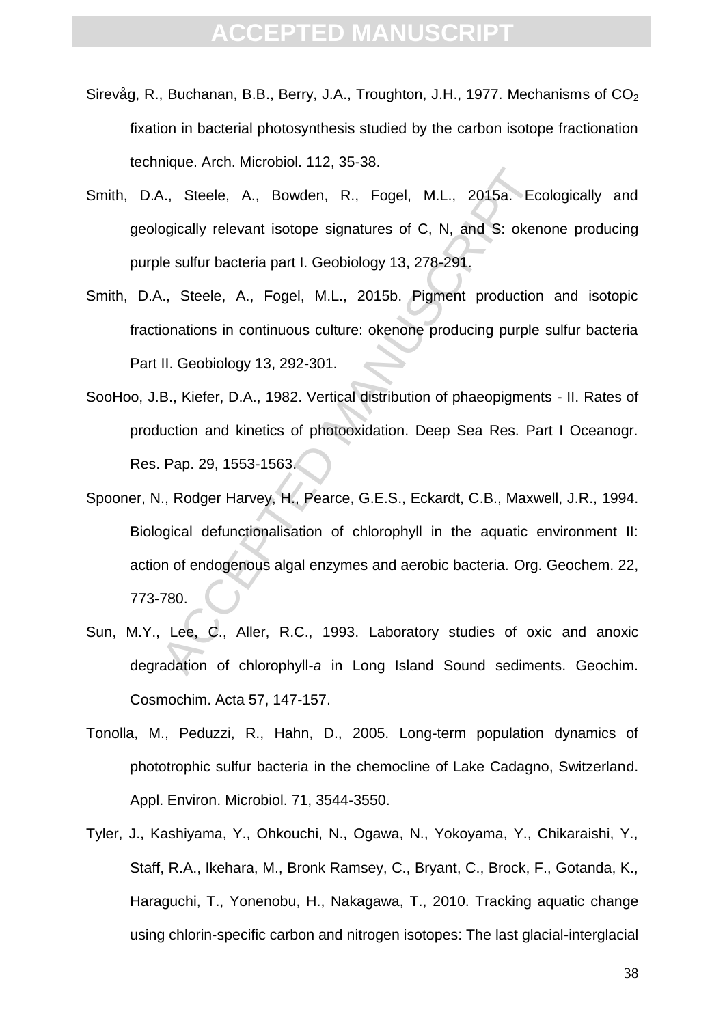- Sirevåg, R., Buchanan, B.B., Berry, J.A., Troughton, J.H., 1977. Mechanisms of  $CO<sub>2</sub>$ fixation in bacterial photosynthesis studied by the carbon isotope fractionation technique. Arch. Microbiol. 112, 35-38.
- Smith, D.A., Steele, A., Bowden, R., Fogel, M.L., 2015a. Ecologically and geologically relevant isotope signatures of C, N, and S: okenone producing purple sulfur bacteria part I. Geobiology 13, 278-291.
- Smith, D.A., Steele, A., Fogel, M.L., 2015b. Pigment production and isotopic fractionations in continuous culture: okenone producing purple sulfur bacteria Part II. Geobiology 13, 292-301.
- SooHoo, J.B., Kiefer, D.A., 1982. Vertical distribution of phaeopigments II. Rates of production and kinetics of photooxidation. Deep Sea Res. Part I Oceanogr. Res. Pap. 29, 1553-1563.
- MacChinamic Book, M.E., ed. ed.<br>
A., Steele, A., Bowden, R., Fogel, M.L., 2015a. Eccoglically relevant isotope signatures of C, N, and S: oken<br>
le sulfur bacteria part I. Geobiology 13, 278-291,<br>
A., Steele, A., Fogel, M.L Spooner, N., Rodger Harvey, H., Pearce, G.E.S., Eckardt, C.B., Maxwell, J.R., 1994. Biological defunctionalisation of chlorophyll in the aquatic environment II: action of endogenous algal enzymes and aerobic bacteria. Org. Geochem. 22, 773-780.
- Sun, M.Y., Lee, C., Aller, R.C., 1993. Laboratory studies of oxic and anoxic degradation of chlorophyll-*a* in Long Island Sound sediments. Geochim. Cosmochim. Acta 57, 147-157.
- Tonolla, M., Peduzzi, R., Hahn, D., 2005. Long-term population dynamics of phototrophic sulfur bacteria in the chemocline of Lake Cadagno, Switzerland. Appl. Environ. Microbiol. 71, 3544-3550.
- Tyler, J., Kashiyama, Y., Ohkouchi, N., Ogawa, N., Yokoyama, Y., Chikaraishi, Y., Staff, R.A., Ikehara, M., Bronk Ramsey, C., Bryant, C., Brock, F., Gotanda, K., Haraguchi, T., Yonenobu, H., Nakagawa, T., 2010. Tracking aquatic change using chlorin-specific carbon and nitrogen isotopes: The last glacial-interglacial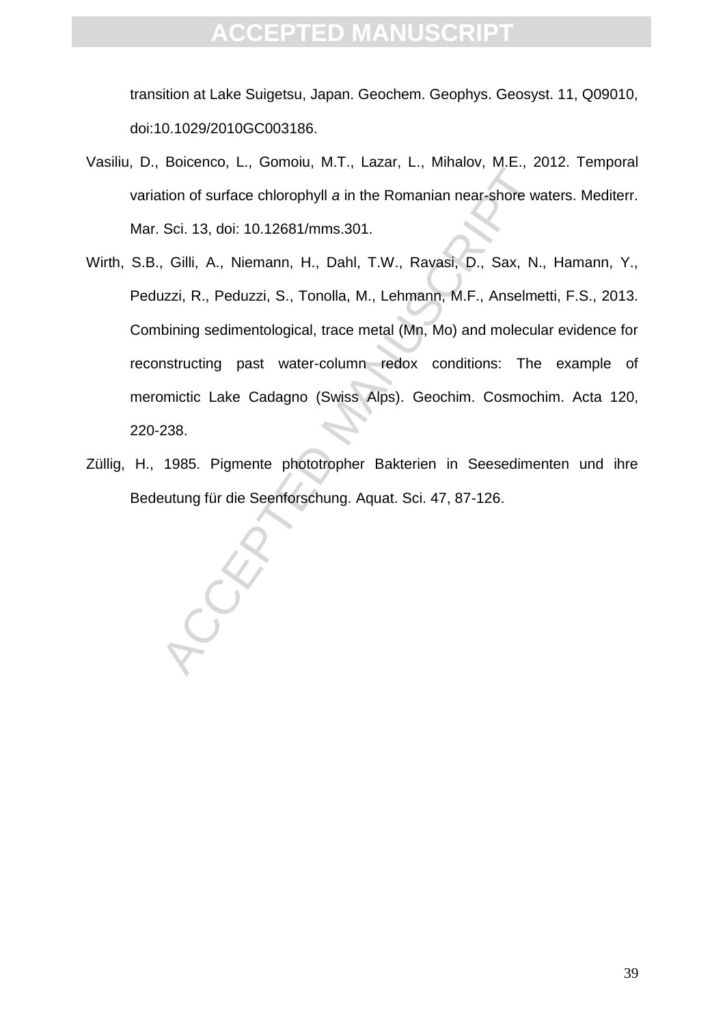transition at Lake Suigetsu, Japan. Geochem. Geophys. Geosyst. 11, Q09010, doi:10.1029/2010GC003186.

- Vasiliu, D., Boicenco, L., Gomoiu, M.T., Lazar, L., Mihalov, M.E., 2012. Temporal variation of surface chlorophyll *a* in the Romanian near-shore waters. Mediterr. Mar. Sci. 13, doi: 10.12681/mms.301.
- Exercise, E., Schnar, Hann, Exercise, E., Interaction of surface chlorophyll a in the Romanian near-shore wa<br>Sci. 13, doi: 10.12681/mms.301.<br>Gilli, A., Niemann, H., Dahl, T.W., Rayasi, D., Sax, N.<br>Uzzi, R., Peduzzi, S., To Wirth, S.B., Gilli, A., Niemann, H., Dahl, T.W., Ravasi, D., Sax, N., Hamann, Y., Peduzzi, R., Peduzzi, S., Tonolla, M., Lehmann, M.F., Anselmetti, F.S., 2013. Combining sedimentological, trace metal (Mn, Mo) and molecular evidence for reconstructing past water-column redox conditions: The example of meromictic Lake Cadagno (Swiss Alps). Geochim. Cosmochim. Acta 120, 220-238.
- Züllig, H., 1985. Pigmente phototropher Bakterien in Seesedimenten und ihre Bedeutung für die Seenforschung. Aquat. Sci. 47, 87-126.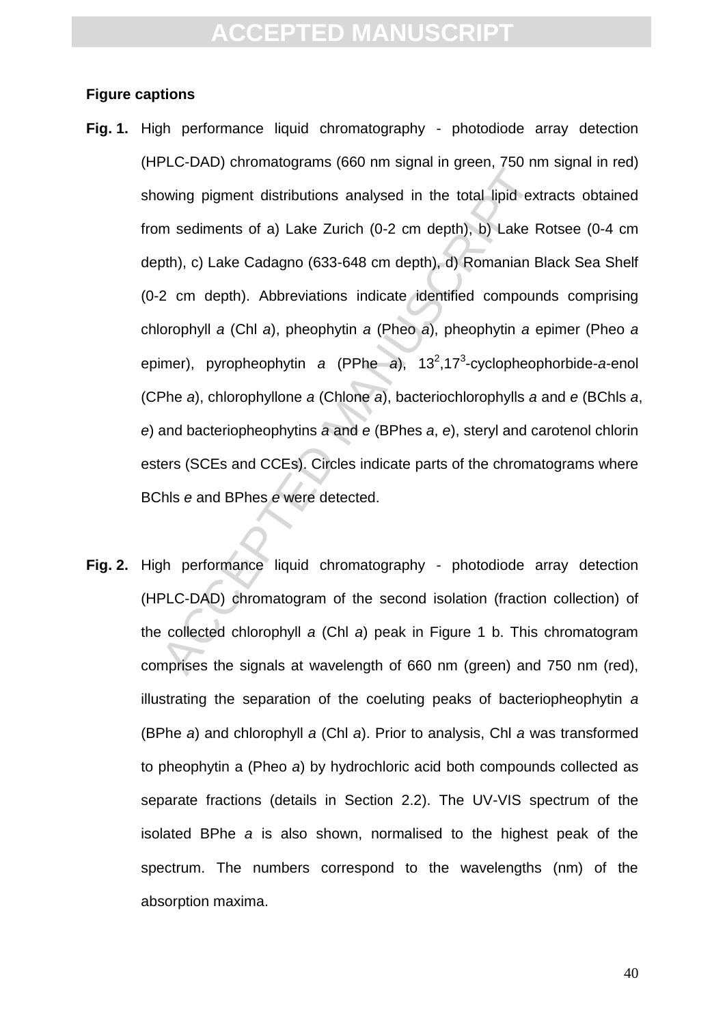#### **Figure captions**

- Let the principle state (see the signal in given, i.e. the moving pigment distributions analysed in the total lipid ext<br>m sediments of a) Lake Zurich (0-2 cm depth), b) Lake R<br>pth), c) Lake Cadagno (633-648 cm depth), d) **Fig. 1.** High performance liquid chromatography - photodiode array detection (HPLC-DAD) chromatograms (660 nm signal in green, 750 nm signal in red) showing pigment distributions analysed in the total lipid extracts obtained from sediments of a) Lake Zurich (0-2 cm depth), b) Lake Rotsee (0-4 cm depth), c) Lake Cadagno (633-648 cm depth), d) Romanian Black Sea Shelf (0-2 cm depth). Abbreviations indicate identified compounds comprising chlorophyll *a* (Chl *a*), pheophytin *a* (Pheo *a*), pheophytin *a* epimer (Pheo *a* epimer), pyropheophytin *a* (PPhe *a*), 13<sup>2</sup>,17<sup>3</sup>-cyclopheophorbide-*a*-enol (CPhe *a*), chlorophyllone *a* (Chlone *a*), bacteriochlorophylls *a* and *e* (BChls *a*, *e*) and bacteriopheophytins *a* and *e* (BPhes *a*, *e*), steryl and carotenol chlorin esters (SCEs and CCEs). Circles indicate parts of the chromatograms where BChls *e* and BPhes *e* were detected.
- **Fig. 2.** High performance liquid chromatography photodiode array detection (HPLC-DAD) chromatogram of the second isolation (fraction collection) of the collected chlorophyll *a* (Chl *a*) peak in Figure 1 b. This chromatogram comprises the signals at wavelength of 660 nm (green) and 750 nm (red), illustrating the separation of the coeluting peaks of bacteriopheophytin *a* (BPhe *a*) and chlorophyll *a* (Chl *a*). Prior to analysis, Chl *a* was transformed to pheophytin a (Pheo *a*) by hydrochloric acid both compounds collected as separate fractions (details in Section 2.2). The UV-VIS spectrum of the isolated BPhe *a* is also shown, normalised to the highest peak of the spectrum. The numbers correspond to the wavelengths (nm) of the absorption maxima.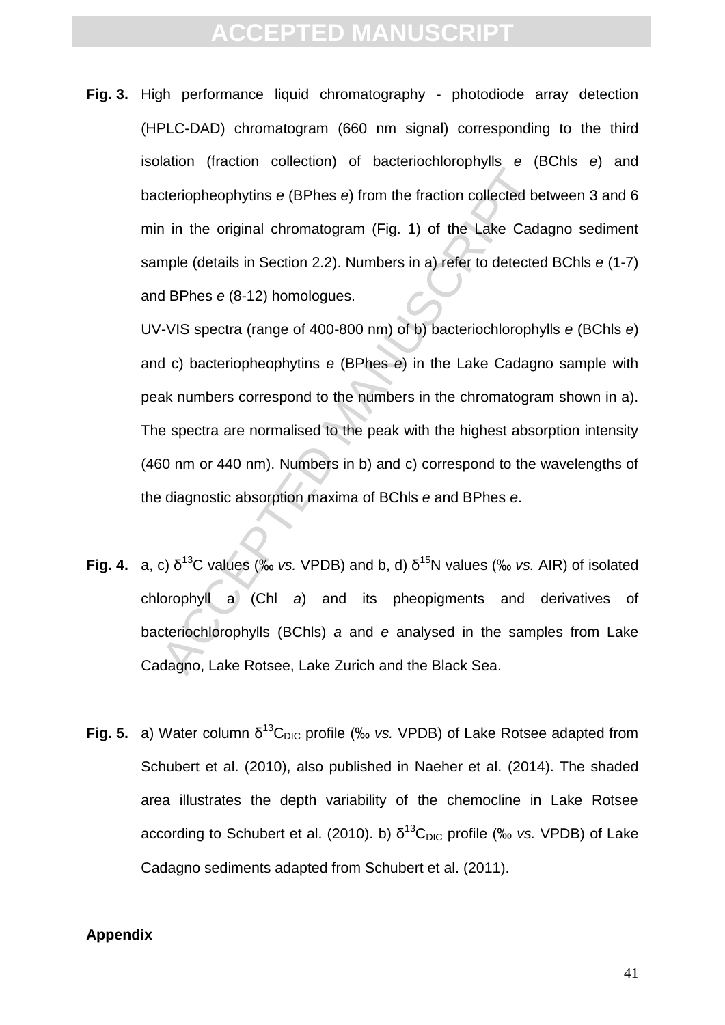**Fig. 3.** High performance liquid chromatography - photodiode array detection (HPLC-DAD) chromatogram (660 nm signal) corresponding to the third isolation (fraction collection) of bacteriochlorophylls *e* (BChls *e*) and bacteriopheophytins *e* (BPhes *e*) from the fraction collected between 3 and 6 min in the original chromatogram (Fig. 1) of the Lake Cadagno sediment sample (details in Section 2.2). Numbers in a) refer to detected BChls *e* (1-7) and BPhes *e* (8-12) homologues.

The entrophology of the matter of the Back Sea.<br>
The entrophology of the fraction collected be<br>
in the original chromatogram (Fig. 1) of the Lake Cada<br>
mple (details in Section 2.2). Numbers in a) refer to detected<br>
d BPh UV-VIS spectra (range of 400-800 nm) of b) bacteriochlorophylls *e* (BChls *e*) and c) bacteriopheophytins *e* (BPhes *e*) in the Lake Cadagno sample with peak numbers correspond to the numbers in the chromatogram shown in a). The spectra are normalised to the peak with the highest absorption intensity (460 nm or 440 nm). Numbers in b) and c) correspond to the wavelengths of the diagnostic absorption maxima of BChls *e* and BPhes *e*.

- **Fig. 4.** a, c)  $\delta^{13}$ C values (‰ *vs.* VPDB) and b, d)  $\delta^{15}$ N values (‰ *vs.* AIR) of isolated chlorophyll a (Chl *a*) and its pheopigments and derivatives of bacteriochlorophylls (BChls) *a* and *e* analysed in the samples from Lake Cadagno, Lake Rotsee, Lake Zurich and the Black Sea.
- **Fig. 5.** a) Water column  $\delta^{13}C_{\text{DIC}}$  profile (‰ *vs.* VPDB) of Lake Rotsee adapted from Schubert et al. (2010), also published in Naeher et al. (2014). The shaded area illustrates the depth variability of the chemocline in Lake Rotsee according to Schubert et al. (2010). b)  $\delta^{13}C_{\text{DIC}}$  profile (‰ *vs.* VPDB) of Lake Cadagno sediments adapted from Schubert et al. (2011).

#### **Appendix**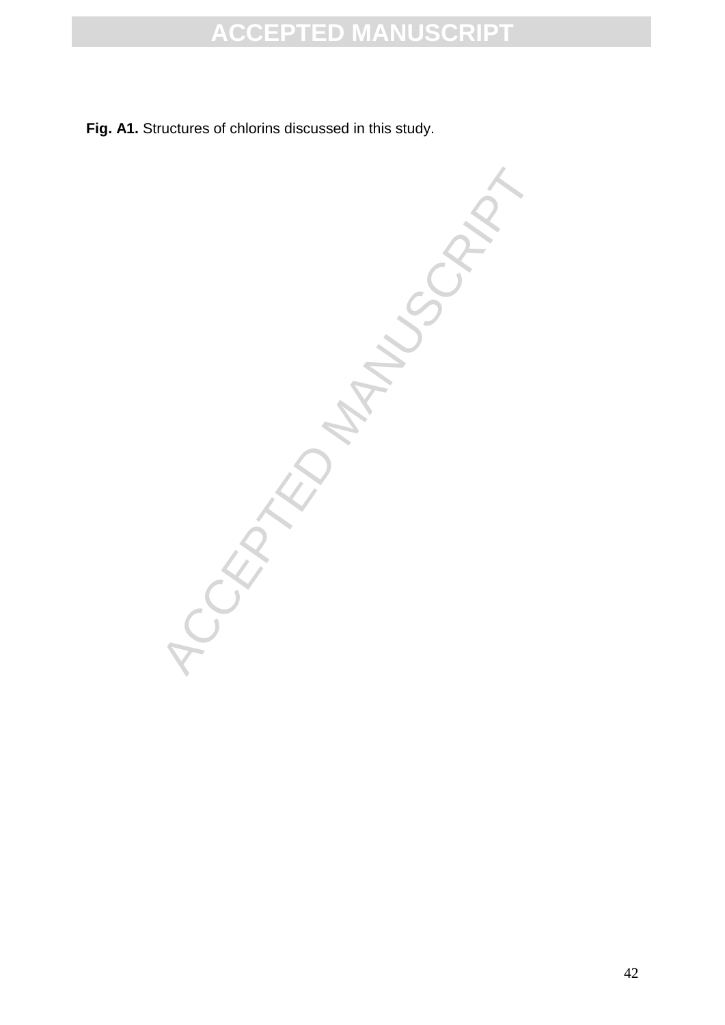**Fig. A1.** Structures of chlorins discussed in this study.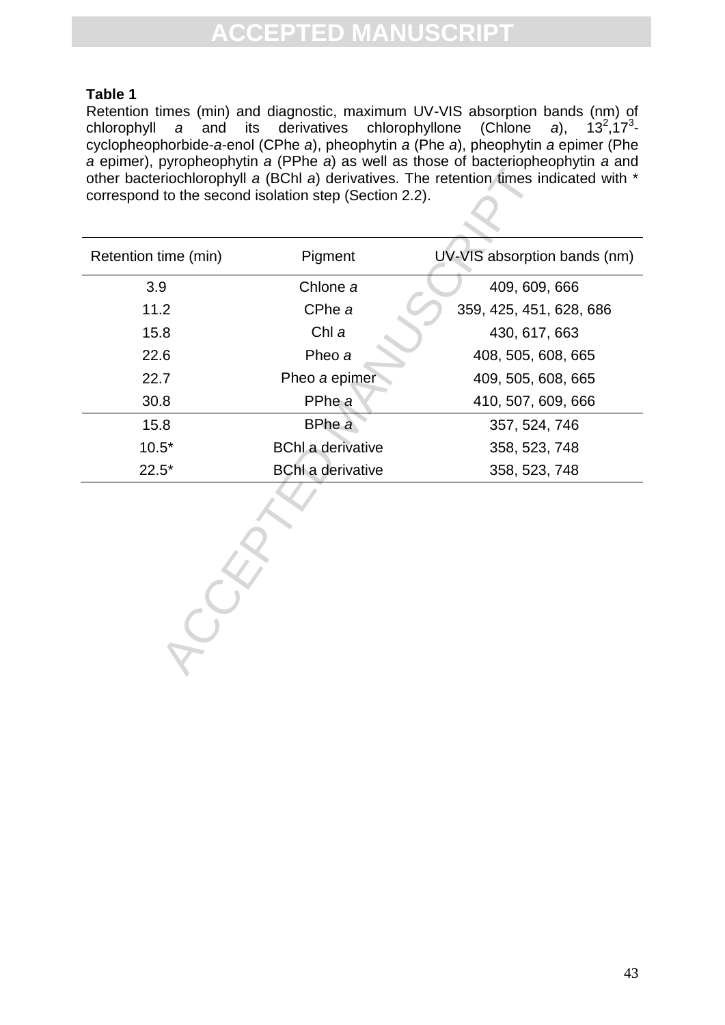#### **Table 1**

Retention times (min) and diagnostic, maximum UV-VIS absorption bands (nm) of chlorophyll *a* and its derivatives chlorophyllone (Chlone *a*), 13<sup>2</sup>  $,17^3$ cyclopheophorbide-*a*-enol (CPhe *a*), pheophytin *a* (Phe *a*), pheophytin *a* epimer (Phe *a* epimer), pyropheophytin *a* (PPhe *a*) as well as those of bacteriopheophytin *a* and other bacteriochlorophyll *a* (BChl *a*) derivatives. The retention times indicated with \* correspond to the second isolation step (Section 2.2).

| other bacteriochlorophyll a (BChl a) derivatives. The retention times indicated with *<br>correspond to the second isolation step (Section 2.2). |                          |                              |  |  |  |  |  |
|--------------------------------------------------------------------------------------------------------------------------------------------------|--------------------------|------------------------------|--|--|--|--|--|
| Retention time (min)                                                                                                                             | Pigment                  | UV-VIS absorption bands (nm) |  |  |  |  |  |
| 3.9                                                                                                                                              | Chlone a                 | 409, 609, 666                |  |  |  |  |  |
| 11.2                                                                                                                                             | CPhe a                   | 359, 425, 451, 628, 686      |  |  |  |  |  |
| 15.8                                                                                                                                             | Chl a                    | 430, 617, 663                |  |  |  |  |  |
| 22.6                                                                                                                                             | Pheo a                   | 408, 505, 608, 665           |  |  |  |  |  |
| 22.7                                                                                                                                             | Pheo a epimer            | 409, 505, 608, 665           |  |  |  |  |  |
| 30.8                                                                                                                                             | PPhe a                   | 410, 507, 609, 666           |  |  |  |  |  |
| 15.8                                                                                                                                             | BPhe a                   | 357, 524, 746                |  |  |  |  |  |
| $10.5*$                                                                                                                                          | <b>BChl a derivative</b> | 358, 523, 748                |  |  |  |  |  |
| $22.5*$                                                                                                                                          | <b>BChI</b> a derivative | 358, 523, 748                |  |  |  |  |  |
|                                                                                                                                                  |                          |                              |  |  |  |  |  |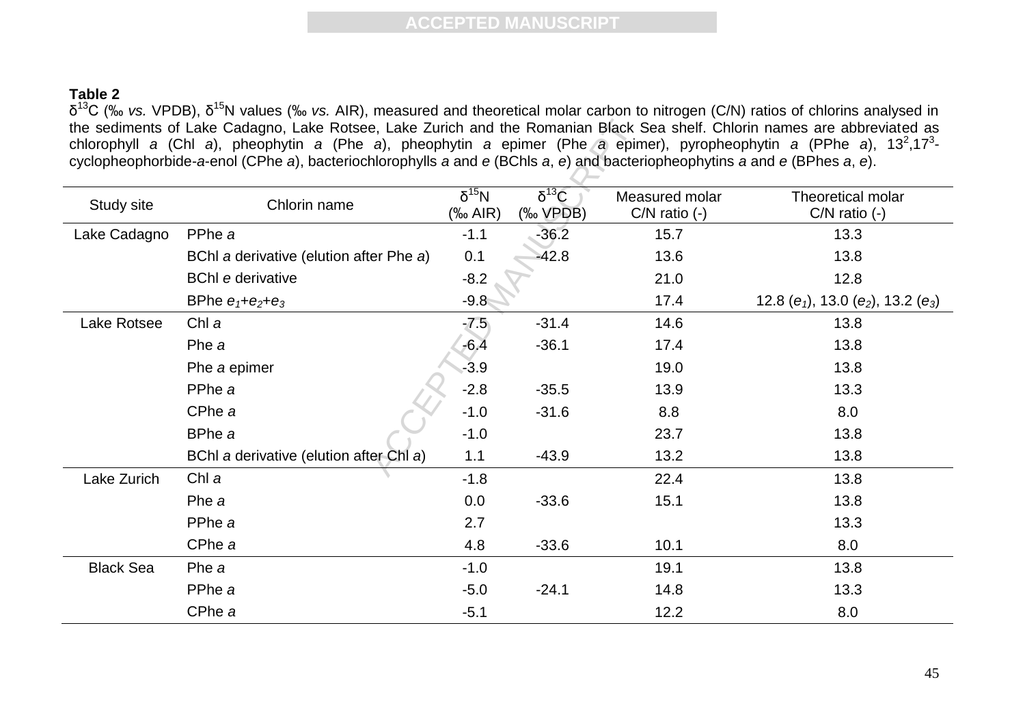#### **Table 2**

δ<sup>13</sup>C (‰ *vs.* VPDB), δ<sup>15</sup>N values (‰ *vs.* AIR), measured and theoretical molar carbon to nitrogen (C/N) ratios of chlorins analysed in the sediments of Lake Cadagno, Lake Rotsee, Lake Zurich and the Romanian Black Sea shelf. Chlorin names are abbreviated as chlorophyll a (Chl a), pheophytin a (Phe a), pheophytin a epimer (Phe a epimer), pyropheophytin a (PPhe a), 13<sup>2</sup>,17<sup>3</sup>cyclopheophorbide-*a*-enol (CPhe *a*), bacteriochlorophylls *a* and *e* (BChls *a*, *e*) and bacteriopheophytins *a* and *e* (BPhes *a*, *e*).

| the sediments of Lake Cadagno, Lake Rotsee, Lake Zurich and the Romanian Black Sea shelf. Chlorin names are abbreviated as<br>chlorophyll a (Chl a), pheophytin a (Phe a), pheophytin a epimer (Phe a epimer), pyropheophytin a (PPhe a), 13 <sup>2</sup> ,17 <sup>3</sup> -<br>cyclopheophorbide-a-enol (CPhe a), bacteriochlorophylls a and e (BChls a, e) and bacteriopheophytins a and e (BPhes a, e). |                                         |                           |                                                                               |                                     |                                                |  |  |  |
|------------------------------------------------------------------------------------------------------------------------------------------------------------------------------------------------------------------------------------------------------------------------------------------------------------------------------------------------------------------------------------------------------------|-----------------------------------------|---------------------------|-------------------------------------------------------------------------------|-------------------------------------|------------------------------------------------|--|--|--|
| Study site                                                                                                                                                                                                                                                                                                                                                                                                 | Chlorin name                            | $\delta^{15}N$<br>(‰ AIR) | $\overline{\delta^{13}C}$<br>$(% \mathcal{L}_{0}\rightarrow \mathcal{L}_{0})$ | Measured molar<br>$C/N$ ratio $(-)$ | Theoretical molar<br>$C/N$ ratio $(-)$         |  |  |  |
| Lake Cadagno                                                                                                                                                                                                                                                                                                                                                                                               | PPhe a                                  | $-1.1$                    | $-36.2$                                                                       | 15.7                                | 13.3                                           |  |  |  |
|                                                                                                                                                                                                                                                                                                                                                                                                            | BChl a derivative (elution after Phe a) | 0.1                       | $-42.8$                                                                       | 13.6                                | 13.8                                           |  |  |  |
|                                                                                                                                                                                                                                                                                                                                                                                                            | <b>BChl e derivative</b>                | $-8.2$                    |                                                                               | 21.0                                | 12.8                                           |  |  |  |
|                                                                                                                                                                                                                                                                                                                                                                                                            | BPhe $e_1 + e_2 + e_3$                  | $-9.8$                    |                                                                               | 17.4                                | 12.8 ( $e_1$ ), 13.0 ( $e_2$ ), 13.2 ( $e_3$ ) |  |  |  |
| Lake Rotsee                                                                                                                                                                                                                                                                                                                                                                                                | Chl a                                   | $-7.5$                    | $-31.4$                                                                       | 14.6                                | 13.8                                           |  |  |  |
|                                                                                                                                                                                                                                                                                                                                                                                                            | Phe a                                   | $-6.4$                    | $-36.1$                                                                       | 17.4                                | 13.8                                           |  |  |  |
|                                                                                                                                                                                                                                                                                                                                                                                                            | Phe a epimer                            | $-3.9$                    |                                                                               | 19.0                                | 13.8                                           |  |  |  |
|                                                                                                                                                                                                                                                                                                                                                                                                            | PPhe a                                  | $-2.8$                    | $-35.5$                                                                       | 13.9                                | 13.3                                           |  |  |  |
|                                                                                                                                                                                                                                                                                                                                                                                                            | CPhe a                                  | $-1.0$                    | $-31.6$                                                                       | 8.8                                 | 8.0                                            |  |  |  |
|                                                                                                                                                                                                                                                                                                                                                                                                            | BPhe a                                  | $-1.0$                    |                                                                               | 23.7                                | 13.8                                           |  |  |  |
|                                                                                                                                                                                                                                                                                                                                                                                                            | BChl a derivative (elution after Chl a) | 1.1                       | $-43.9$                                                                       | 13.2                                | 13.8                                           |  |  |  |
| Lake Zurich                                                                                                                                                                                                                                                                                                                                                                                                | Chl a                                   | $-1.8$                    |                                                                               | 22.4                                | 13.8                                           |  |  |  |
|                                                                                                                                                                                                                                                                                                                                                                                                            | Phe a                                   | 0.0                       | $-33.6$                                                                       | 15.1                                | 13.8                                           |  |  |  |
|                                                                                                                                                                                                                                                                                                                                                                                                            | PPhe a                                  | 2.7                       |                                                                               |                                     | 13.3                                           |  |  |  |
|                                                                                                                                                                                                                                                                                                                                                                                                            | CPhe a                                  | 4.8                       | $-33.6$                                                                       | 10.1                                | 8.0                                            |  |  |  |
| <b>Black Sea</b>                                                                                                                                                                                                                                                                                                                                                                                           | Phe a                                   | $-1.0$                    |                                                                               | 19.1                                | 13.8                                           |  |  |  |
|                                                                                                                                                                                                                                                                                                                                                                                                            | PPhe a                                  | $-5.0$                    | $-24.1$                                                                       | 14.8                                | 13.3                                           |  |  |  |
|                                                                                                                                                                                                                                                                                                                                                                                                            | CPhe a                                  | $-5.1$                    |                                                                               | 12.2                                | 8.0                                            |  |  |  |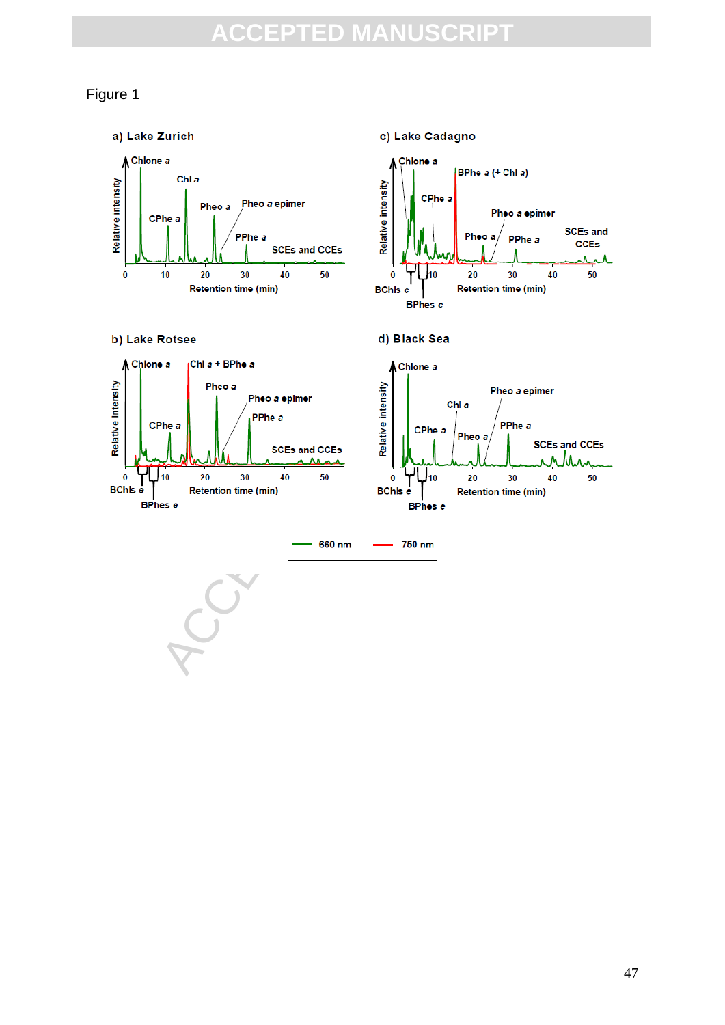#### Figure 1

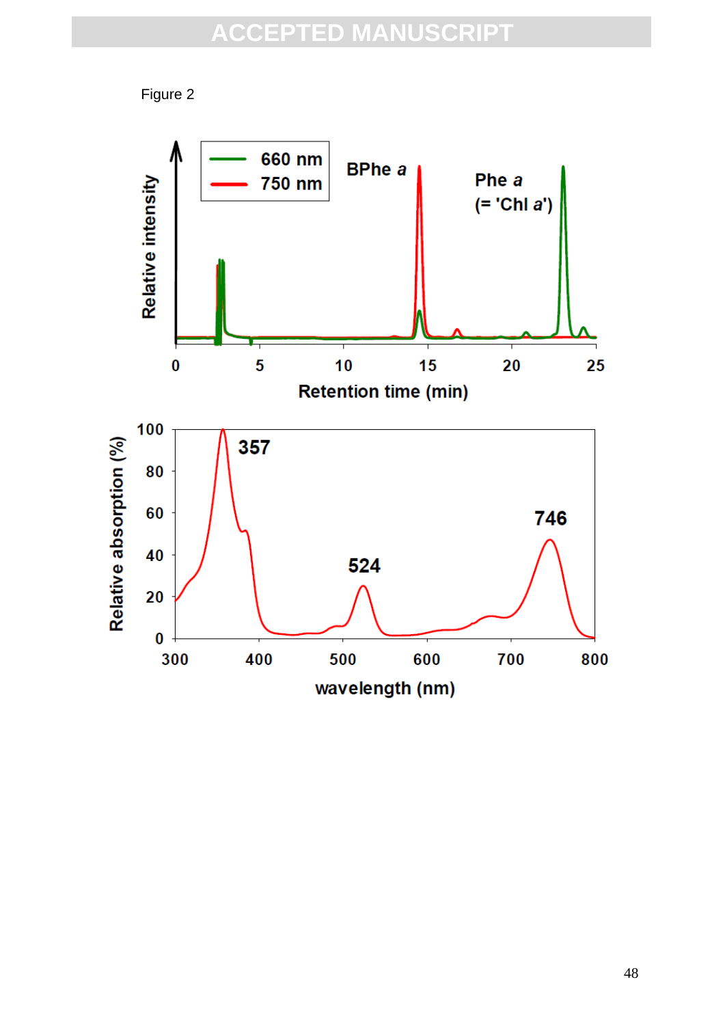Figure 2

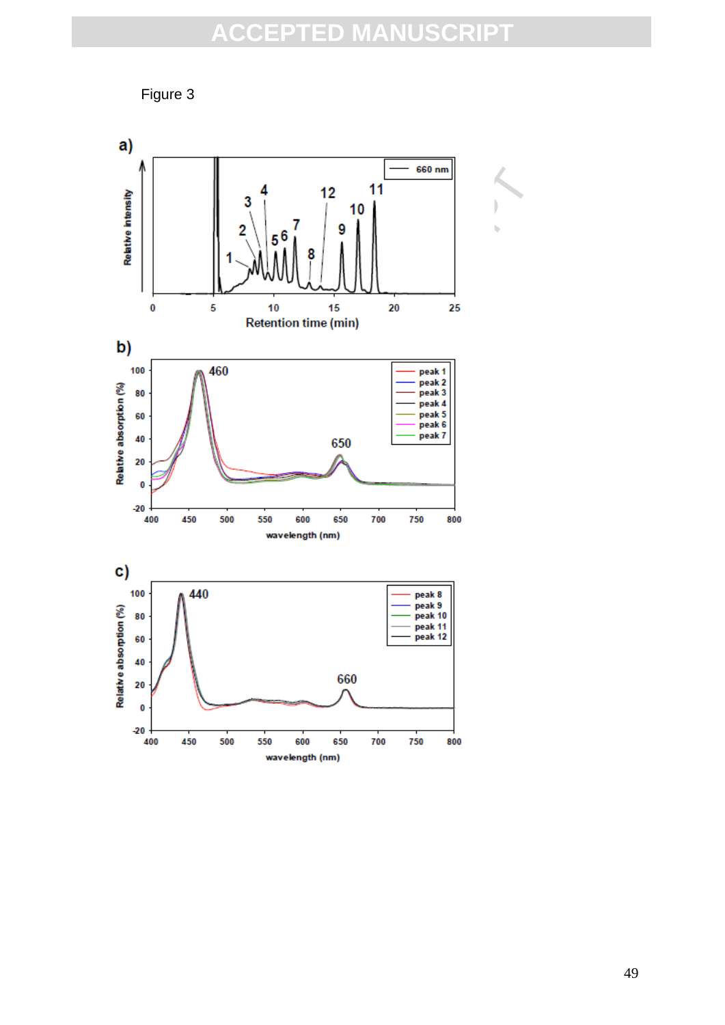

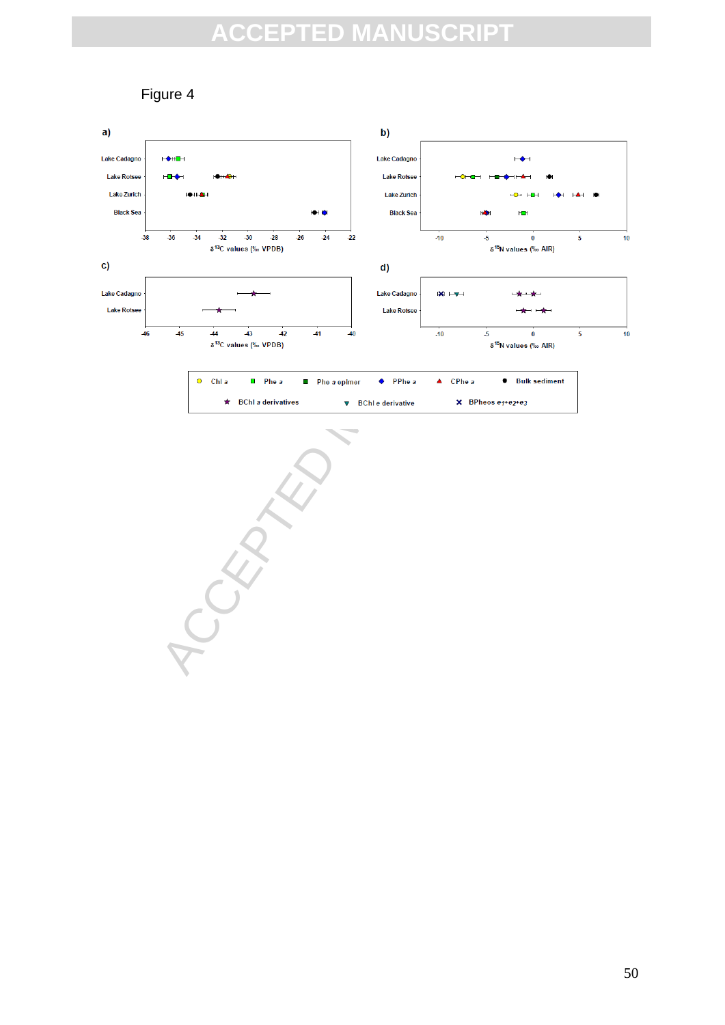### Figure 4

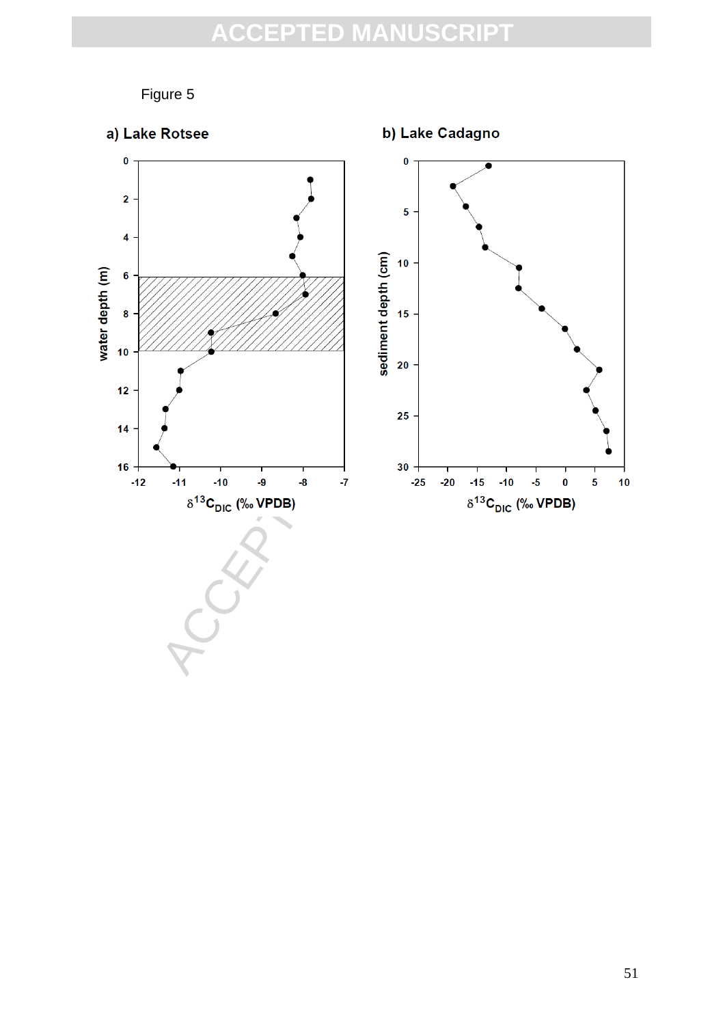Figure 5